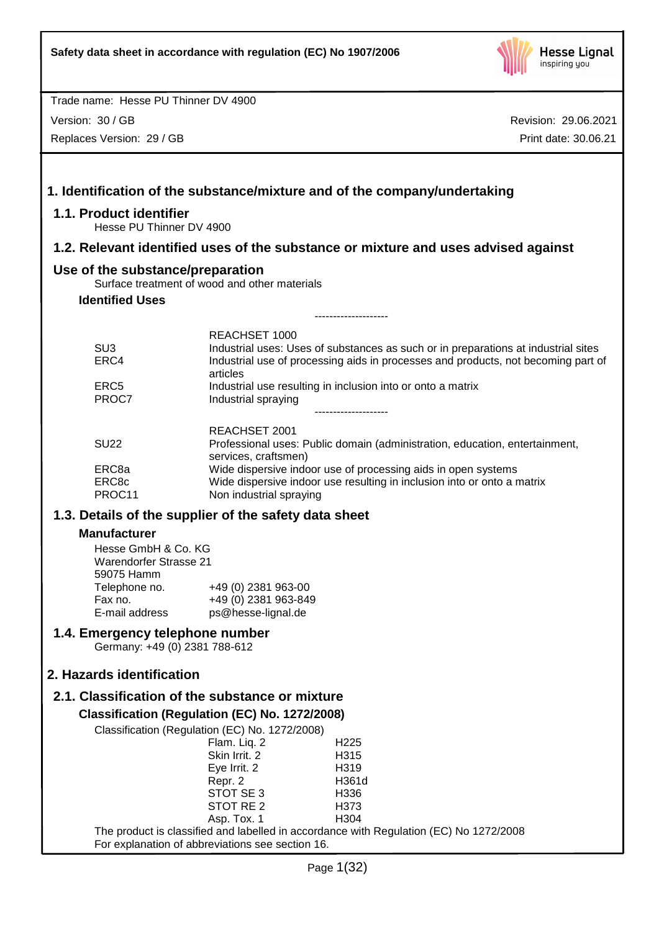

Version: 30 / GB

Replaces Version: 29 / GB

| 1.1. Product identifier                                            |                                                                                                  | 1. Identification of the substance/mixture and of the company/undertaking                                                                                               |
|--------------------------------------------------------------------|--------------------------------------------------------------------------------------------------|-------------------------------------------------------------------------------------------------------------------------------------------------------------------------|
| Hesse PU Thinner DV 4900                                           |                                                                                                  |                                                                                                                                                                         |
|                                                                    |                                                                                                  | 1.2. Relevant identified uses of the substance or mixture and uses advised against                                                                                      |
| Use of the substance/preparation                                   |                                                                                                  |                                                                                                                                                                         |
| <b>Identified Uses</b>                                             | Surface treatment of wood and other materials                                                    |                                                                                                                                                                         |
|                                                                    |                                                                                                  | -------------------                                                                                                                                                     |
|                                                                    | REACHSET 1000                                                                                    |                                                                                                                                                                         |
| SU <sub>3</sub><br>ERC4                                            | articles                                                                                         | Industrial uses: Uses of substances as such or in preparations at industrial sites<br>Industrial use of processing aids in processes and products, not becoming part of |
| ERC <sub>5</sub><br>PROC7                                          | Industrial spraying                                                                              | Industrial use resulting in inclusion into or onto a matrix<br>------------------                                                                                       |
|                                                                    | REACHSET 2001                                                                                    |                                                                                                                                                                         |
| <b>SU22</b>                                                        | services, craftsmen)                                                                             | Professional uses: Public domain (administration, education, entertainment,                                                                                             |
| ERC8a                                                              |                                                                                                  | Wide dispersive indoor use of processing aids in open systems                                                                                                           |
| ERC8c<br>PROC11                                                    | Non industrial spraying                                                                          | Wide dispersive indoor use resulting in inclusion into or onto a matrix                                                                                                 |
|                                                                    | 1.3. Details of the supplier of the safety data sheet                                            |                                                                                                                                                                         |
| <b>Manufacturer</b>                                                |                                                                                                  |                                                                                                                                                                         |
| Hesse GmbH & Co. KG<br><b>Warendorfer Strasse 21</b><br>59075 Hamm |                                                                                                  |                                                                                                                                                                         |
| Telephone no.                                                      | +49 (0) 2381 963-00                                                                              |                                                                                                                                                                         |
| Fax no.<br>E-mail address                                          | +49 (0) 2381 963-849<br>ps@hesse-lignal.de                                                       |                                                                                                                                                                         |
| 1.4. Emergency telephone number<br>Germany: +49 (0) 2381 788-612   |                                                                                                  |                                                                                                                                                                         |
|                                                                    |                                                                                                  |                                                                                                                                                                         |
| 2. Hazards identification                                          |                                                                                                  |                                                                                                                                                                         |
|                                                                    | 2.1. Classification of the substance or mixture                                                  |                                                                                                                                                                         |
|                                                                    | Classification (Regulation (EC) No. 1272/2008)<br>Classification (Regulation (EC) No. 1272/2008) |                                                                                                                                                                         |
|                                                                    | Flam. Liq. 2                                                                                     | H <sub>225</sub>                                                                                                                                                        |
|                                                                    | Skin Irrit. 2                                                                                    | H315                                                                                                                                                                    |
|                                                                    | Eye Irrit. 2                                                                                     | H319                                                                                                                                                                    |
|                                                                    | Repr. 2<br>STOT SE 3                                                                             | H361d<br>H336                                                                                                                                                           |
|                                                                    | STOT RE <sub>2</sub>                                                                             | H373                                                                                                                                                                    |
|                                                                    | Asp. Tox. 1                                                                                      | H304                                                                                                                                                                    |
|                                                                    | For explanation of abbreviations see section 16.                                                 | The product is classified and labelled in accordance with Regulation (EC) No 1272/2008                                                                                  |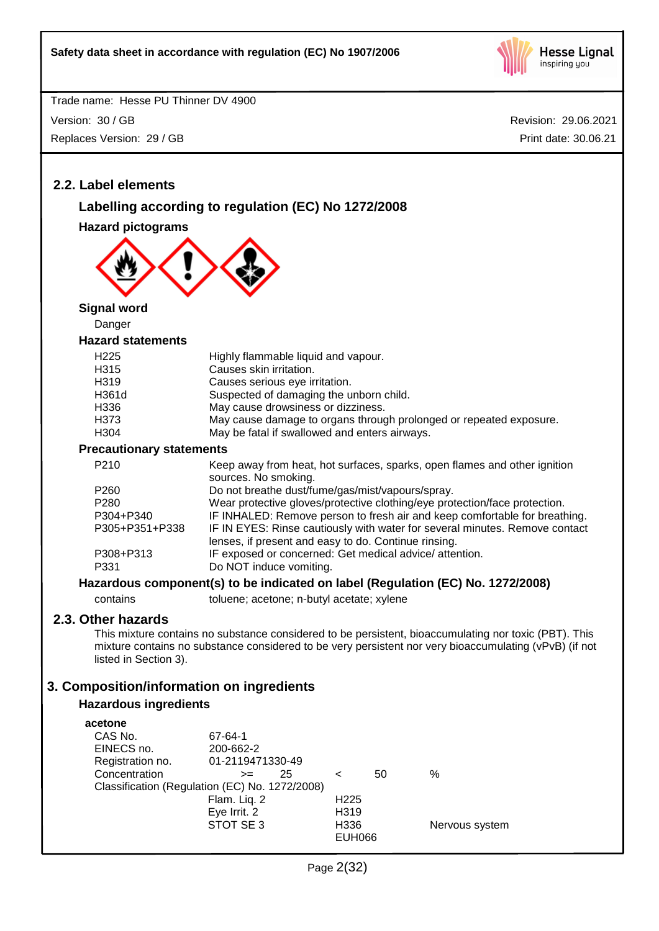

Trade name: Hesse PU Thinner DV 4900 Version: 30 / GB Replaces Version: 29 / GB

Revision: 29.06.2021 Print date: 30.06.21

## **2.2. Label elements**

## **Labelling according to regulation (EC) No 1272/2008**

**Hazard pictograms**



**Signal word**

Danger

#### **Hazard statements**

| H <sub>225</sub> | Highly flammable liquid and vapour.                                |
|------------------|--------------------------------------------------------------------|
| H315             | Causes skin irritation.                                            |
| H319             | Causes serious eye irritation.                                     |
| H361d            | Suspected of damaging the unborn child.                            |
| H336             | May cause drowsiness or dizziness.                                 |
| H373             | May cause damage to organs through prolonged or repeated exposure. |
| H304             | May be fatal if swallowed and enters airways.                      |
|                  |                                                                    |

**Precautionary statements**

| P <sub>210</sub>  | Keep away from heat, hot surfaces, sparks, open flames and other ignition<br>sources. No smoking.                                   |
|-------------------|-------------------------------------------------------------------------------------------------------------------------------------|
| P <sub>260</sub>  | Do not breathe dust/fume/gas/mist/vapours/spray.                                                                                    |
| P <sub>280</sub>  | Wear protective gloves/protective clothing/eye protection/face protection.                                                          |
| P304+P340         | IF INHALED: Remove person to fresh air and keep comfortable for breathing.                                                          |
| P305+P351+P338    | IF IN EYES: Rinse cautiously with water for several minutes. Remove contact<br>lenses, if present and easy to do. Continue rinsing. |
| P308+P313<br>P331 | IF exposed or concerned: Get medical advice/attention.<br>Do NOT induce vomiting.                                                   |

#### **Hazardous component(s) to be indicated on label (Regulation (EC) No. 1272/2008)**

contains toluene; acetone; n-butyl acetate; xylene

## **2.3. Other hazards**

This mixture contains no substance considered to be persistent, bioaccumulating nor toxic (PBT). This mixture contains no substance considered to be very persistent nor very bioaccumulating (vPvB) (if not listed in Section 3).

## **3. Composition/information on ingredients**

#### **Hazardous ingredients**

| acetone                                        |                  |    |                   |    |                |
|------------------------------------------------|------------------|----|-------------------|----|----------------|
| CAS No.                                        | 67-64-1          |    |                   |    |                |
| EINECS no.                                     | 200-662-2        |    |                   |    |                |
| Registration no.                               | 01-2119471330-49 |    |                   |    |                |
| Concentration                                  | $>=$             | 25 | <                 | 50 | ℅              |
| Classification (Regulation (EC) No. 1272/2008) |                  |    |                   |    |                |
|                                                | Flam. Liq. 2     |    | H <sub>225</sub>  |    |                |
|                                                | Eye Irrit. 2     |    | H <sub>3</sub> 19 |    |                |
|                                                | STOT SE 3        |    | H336              |    | Nervous system |
|                                                |                  |    | <b>EUH066</b>     |    |                |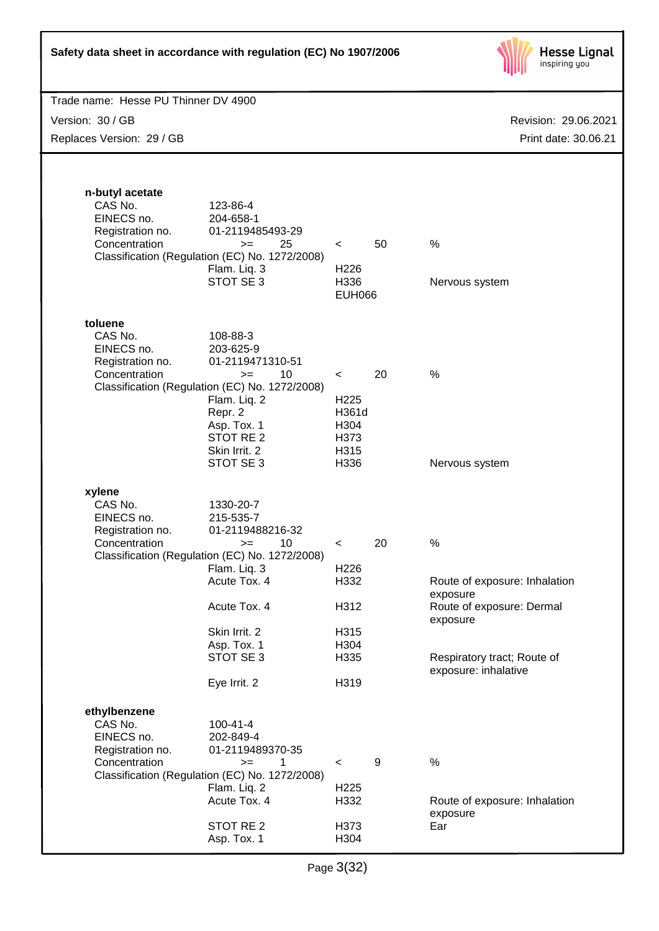

| Trade name: Hesse PU Thinner DV 4900                                          |                  |    |                                                     |  |  |
|-------------------------------------------------------------------------------|------------------|----|-----------------------------------------------------|--|--|
| Version: 30 / GB                                                              |                  |    | Revision: 29.06.2021                                |  |  |
| Replaces Version: 29 / GB                                                     |                  |    | Print date: 30.06.21                                |  |  |
|                                                                               |                  |    |                                                     |  |  |
|                                                                               |                  |    |                                                     |  |  |
| n-butyl acetate                                                               |                  |    |                                                     |  |  |
| CAS No.<br>123-86-4                                                           |                  |    |                                                     |  |  |
| EINECS no.<br>204-658-1                                                       |                  |    |                                                     |  |  |
| Registration no.<br>01-2119485493-29                                          |                  |    |                                                     |  |  |
| Concentration<br>25<br>$>=$<br>Classification (Regulation (EC) No. 1272/2008) | $\prec$          | 50 | %                                                   |  |  |
| Flam. Liq. 3                                                                  | H <sub>226</sub> |    |                                                     |  |  |
| STOT SE 3                                                                     | H336             |    | Nervous system                                      |  |  |
|                                                                               | <b>EUH066</b>    |    |                                                     |  |  |
| toluene                                                                       |                  |    |                                                     |  |  |
| CAS No.<br>108-88-3                                                           |                  |    |                                                     |  |  |
| EINECS no.<br>203-625-9                                                       |                  |    |                                                     |  |  |
| Registration no.<br>01-2119471310-51<br>Concentration                         |                  | 20 | %                                                   |  |  |
| 10<br>$>=$<br>Classification (Regulation (EC) No. 1272/2008)                  | $\prec$          |    |                                                     |  |  |
| Flam. Liq. 2                                                                  | H <sub>225</sub> |    |                                                     |  |  |
| Repr. 2                                                                       | H361d            |    |                                                     |  |  |
| Asp. Tox. 1<br>STOT RE <sub>2</sub>                                           | H304<br>H373     |    |                                                     |  |  |
| Skin Irrit. 2                                                                 | H315             |    |                                                     |  |  |
| STOT SE 3                                                                     | H336             |    | Nervous system                                      |  |  |
|                                                                               |                  |    |                                                     |  |  |
| xylene<br>CAS No.<br>1330-20-7                                                |                  |    |                                                     |  |  |
| EINECS no.<br>215-535-7                                                       |                  |    |                                                     |  |  |
| Registration no.<br>01-2119488216-32                                          |                  |    |                                                     |  |  |
| Concentration<br>10<br>$>=$<br>Classification (Regulation (EC) No. 1272/2008) | $\,<\,$          | 20 | $\%$                                                |  |  |
| Flam. Liq. 3                                                                  | H <sub>226</sub> |    |                                                     |  |  |
| Acute Tox. 4                                                                  | H332             |    | Route of exposure: Inhalation                       |  |  |
| Acute Tox. 4                                                                  | H312             |    | exposure<br>Route of exposure: Dermal               |  |  |
|                                                                               |                  |    | exposure                                            |  |  |
| Skin Irrit. 2                                                                 | H315             |    |                                                     |  |  |
| Asp. Tox. 1<br>STOT SE 3                                                      | H304             |    |                                                     |  |  |
|                                                                               | H335             |    | Respiratory tract; Route of<br>exposure: inhalative |  |  |
| Eye Irrit. 2                                                                  | H319             |    |                                                     |  |  |
|                                                                               |                  |    |                                                     |  |  |
| ethylbenzene<br>CAS No.<br>$100 - 41 - 4$                                     |                  |    |                                                     |  |  |
| EINECS no.<br>202-849-4                                                       |                  |    |                                                     |  |  |
| Registration no.<br>01-2119489370-35                                          |                  |    |                                                     |  |  |
| Concentration<br>1<br>$>=$                                                    | $\,<\,$          | 9  | %                                                   |  |  |
| Classification (Regulation (EC) No. 1272/2008)<br>Flam. Liq. 2                | H <sub>225</sub> |    |                                                     |  |  |
| Acute Tox. 4                                                                  | H332             |    | Route of exposure: Inhalation                       |  |  |
|                                                                               |                  |    | exposure                                            |  |  |
| STOT RE 2<br>Asp. Tox. 1                                                      | H373<br>H304     |    | Ear                                                 |  |  |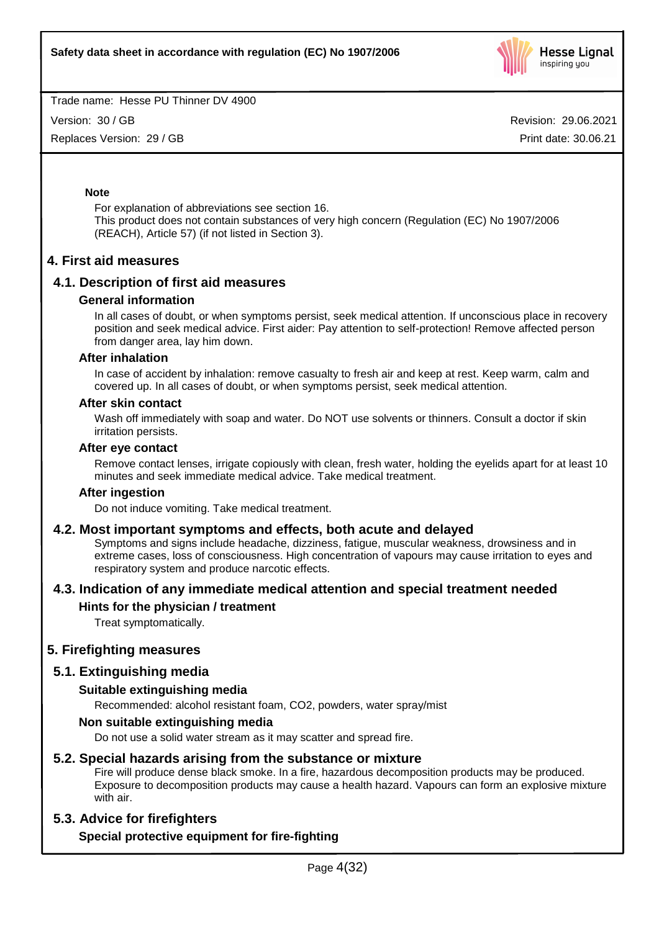

Version: 30 / GB

Replaces Version: 29 / GB

Revision: 29.06.2021 Print date: 30.06.21

#### **Note**

For explanation of abbreviations see section 16. This product does not contain substances of very high concern (Regulation (EC) No 1907/2006 (REACH), Article 57) (if not listed in Section 3).

## **4. First aid measures**

## **4.1. Description of first aid measures**

#### **General information**

In all cases of doubt, or when symptoms persist, seek medical attention. If unconscious place in recovery position and seek medical advice. First aider: Pay attention to self-protection! Remove affected person from danger area, lay him down.

#### **After inhalation**

In case of accident by inhalation: remove casualty to fresh air and keep at rest. Keep warm, calm and covered up. In all cases of doubt, or when symptoms persist, seek medical attention.

#### **After skin contact**

Wash off immediately with soap and water. Do NOT use solvents or thinners. Consult a doctor if skin irritation persists.

#### **After eye contact**

Remove contact lenses, irrigate copiously with clean, fresh water, holding the eyelids apart for at least 10 minutes and seek immediate medical advice. Take medical treatment.

#### **After ingestion**

Do not induce vomiting. Take medical treatment.

#### **4.2. Most important symptoms and effects, both acute and delayed**

Symptoms and signs include headache, dizziness, fatigue, muscular weakness, drowsiness and in extreme cases, loss of consciousness. High concentration of vapours may cause irritation to eyes and respiratory system and produce narcotic effects.

## **4.3. Indication of any immediate medical attention and special treatment needed**

## **Hints for the physician / treatment**

Treat symptomatically.

## **5. Firefighting measures**

## **5.1. Extinguishing media**

#### **Suitable extinguishing media**

Recommended: alcohol resistant foam, CO2, powders, water spray/mist

#### **Non suitable extinguishing media**

Do not use a solid water stream as it may scatter and spread fire.

## **5.2. Special hazards arising from the substance or mixture**

Fire will produce dense black smoke. In a fire, hazardous decomposition products may be produced. Exposure to decomposition products may cause a health hazard. Vapours can form an explosive mixture with air.

## **5.3. Advice for firefighters**

## **Special protective equipment for fire-fighting**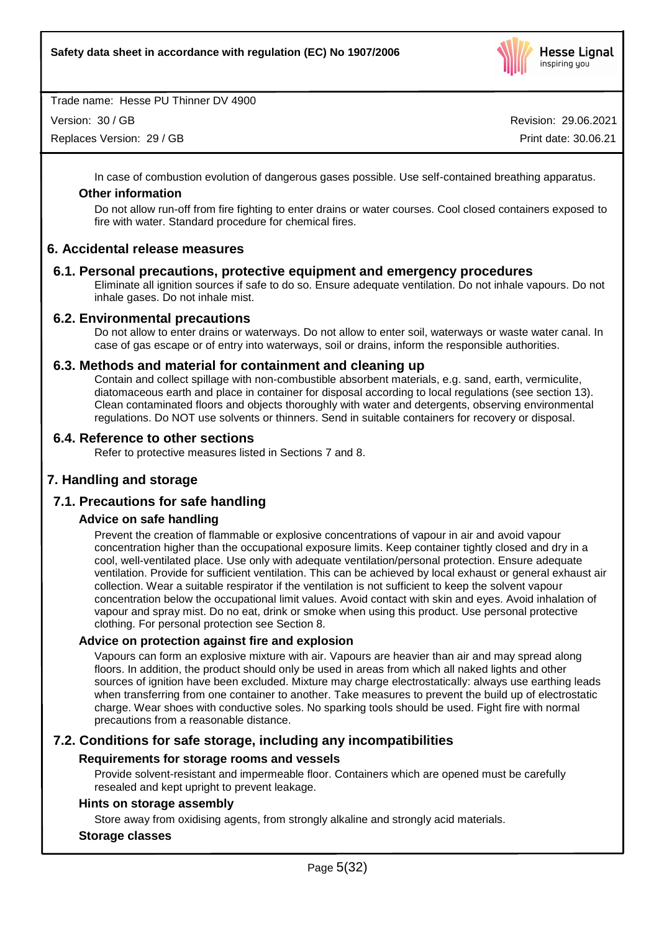

Version: 30 / GB

Replaces Version: 29 / GB

Revision: 29.06.2021 Print date: 30.06.21

In case of combustion evolution of dangerous gases possible. Use self-contained breathing apparatus.

#### **Other information**

Do not allow run-off from fire fighting to enter drains or water courses. Cool closed containers exposed to fire with water. Standard procedure for chemical fires.

## **6. Accidental release measures**

## **6.1. Personal precautions, protective equipment and emergency procedures**

Eliminate all ignition sources if safe to do so. Ensure adequate ventilation. Do not inhale vapours. Do not inhale gases. Do not inhale mist.

## **6.2. Environmental precautions**

Do not allow to enter drains or waterways. Do not allow to enter soil, waterways or waste water canal. In case of gas escape or of entry into waterways, soil or drains, inform the responsible authorities.

## **6.3. Methods and material for containment and cleaning up**

Contain and collect spillage with non-combustible absorbent materials, e.g. sand, earth, vermiculite, diatomaceous earth and place in container for disposal according to local regulations (see section 13). Clean contaminated floors and objects thoroughly with water and detergents, observing environmental regulations. Do NOT use solvents or thinners. Send in suitable containers for recovery or disposal.

## **6.4. Reference to other sections**

Refer to protective measures listed in Sections 7 and 8.

## **7. Handling and storage**

## **7.1. Precautions for safe handling**

#### **Advice on safe handling**

Prevent the creation of flammable or explosive concentrations of vapour in air and avoid vapour concentration higher than the occupational exposure limits. Keep container tightly closed and dry in a cool, well-ventilated place. Use only with adequate ventilation/personal protection. Ensure adequate ventilation. Provide for sufficient ventilation. This can be achieved by local exhaust or general exhaust air collection. Wear a suitable respirator if the ventilation is not sufficient to keep the solvent vapour concentration below the occupational limit values. Avoid contact with skin and eyes. Avoid inhalation of vapour and spray mist. Do no eat, drink or smoke when using this product. Use personal protective clothing. For personal protection see Section 8.

#### **Advice on protection against fire and explosion**

Vapours can form an explosive mixture with air. Vapours are heavier than air and may spread along floors. In addition, the product should only be used in areas from which all naked lights and other sources of ignition have been excluded. Mixture may charge electrostatically: always use earthing leads when transferring from one container to another. Take measures to prevent the build up of electrostatic charge. Wear shoes with conductive soles. No sparking tools should be used. Fight fire with normal precautions from a reasonable distance.

## **7.2. Conditions for safe storage, including any incompatibilities**

#### **Requirements for storage rooms and vessels**

Provide solvent-resistant and impermeable floor. Containers which are opened must be carefully resealed and kept upright to prevent leakage.

#### **Hints on storage assembly**

Store away from oxidising agents, from strongly alkaline and strongly acid materials.

#### **Storage classes**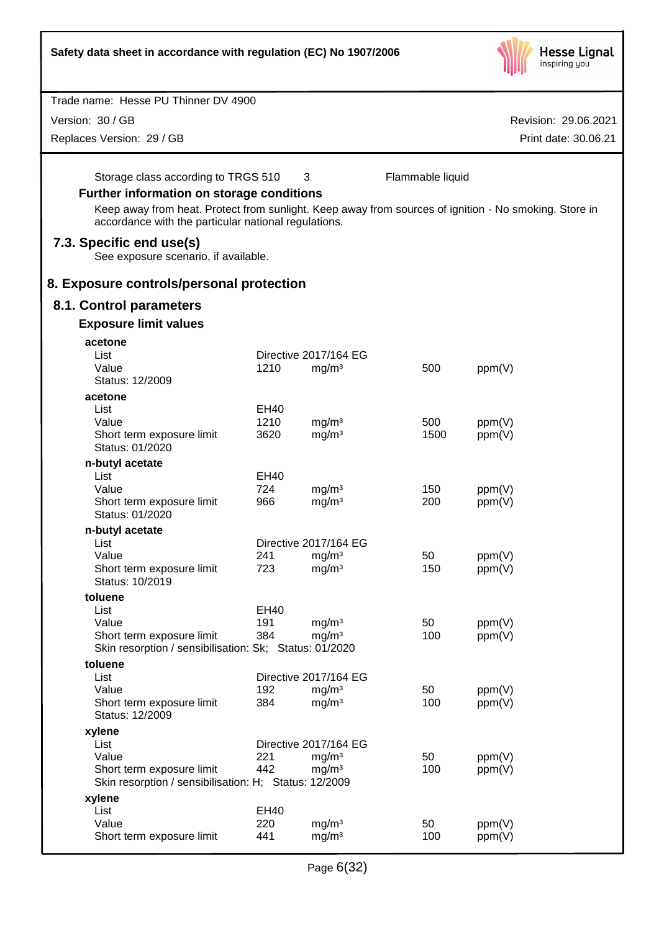| Safety data sheet in accordance with regulation (EC) No 1907/2006                                                                                                                                                                                        |                     |                                        |                  |                  | <b>Hesse Lignal</b><br>inspiring you |
|----------------------------------------------------------------------------------------------------------------------------------------------------------------------------------------------------------------------------------------------------------|---------------------|----------------------------------------|------------------|------------------|--------------------------------------|
| Trade name: Hesse PU Thinner DV 4900                                                                                                                                                                                                                     |                     |                                        |                  |                  |                                      |
| Version: 30 / GB                                                                                                                                                                                                                                         |                     |                                        |                  |                  |                                      |
|                                                                                                                                                                                                                                                          |                     |                                        |                  |                  | Revision: 29.06.2021                 |
| Replaces Version: 29 / GB                                                                                                                                                                                                                                |                     |                                        |                  |                  | Print date: 30.06.21                 |
| Storage class according to TRGS 510<br><b>Further information on storage conditions</b><br>Keep away from heat. Protect from sunlight. Keep away from sources of ignition - No smoking. Store in<br>accordance with the particular national regulations. |                     | 3                                      | Flammable liquid |                  |                                      |
| 7.3. Specific end use(s)<br>See exposure scenario, if available.                                                                                                                                                                                         |                     |                                        |                  |                  |                                      |
| 8. Exposure controls/personal protection                                                                                                                                                                                                                 |                     |                                        |                  |                  |                                      |
| 8.1. Control parameters                                                                                                                                                                                                                                  |                     |                                        |                  |                  |                                      |
| <b>Exposure limit values</b>                                                                                                                                                                                                                             |                     |                                        |                  |                  |                                      |
| acetone                                                                                                                                                                                                                                                  |                     |                                        |                  |                  |                                      |
| List                                                                                                                                                                                                                                                     |                     | Directive 2017/164 EG                  |                  |                  |                                      |
| Value                                                                                                                                                                                                                                                    | 1210                | mg/m <sup>3</sup>                      | 500              | ppm(V)           |                                      |
| Status: 12/2009                                                                                                                                                                                                                                          |                     |                                        |                  |                  |                                      |
| acetone                                                                                                                                                                                                                                                  |                     |                                        |                  |                  |                                      |
| List<br>Value                                                                                                                                                                                                                                            | <b>EH40</b><br>1210 | mg/m <sup>3</sup>                      | 500              | ppm(V)           |                                      |
| Short term exposure limit<br>Status: 01/2020                                                                                                                                                                                                             | 3620                | mg/m <sup>3</sup>                      | 1500             | ppm(V)           |                                      |
| n-butyl acetate                                                                                                                                                                                                                                          |                     |                                        |                  |                  |                                      |
| List                                                                                                                                                                                                                                                     | EH40                |                                        |                  |                  |                                      |
| Value                                                                                                                                                                                                                                                    | 724                 | mg/m <sup>3</sup>                      | 150              | ppm(V)           |                                      |
| Short term exposure limit<br>Status: 01/2020                                                                                                                                                                                                             | 966                 | mg/m <sup>3</sup>                      | 200              | ppm(V)           |                                      |
| n-butyl acetate                                                                                                                                                                                                                                          |                     |                                        |                  |                  |                                      |
| List                                                                                                                                                                                                                                                     |                     | Directive 2017/164 EG                  |                  |                  |                                      |
| Value                                                                                                                                                                                                                                                    | 241<br>723          | mg/m <sup>3</sup>                      | 50               | ppm(V)           |                                      |
| Short term exposure limit<br>Status: 10/2019                                                                                                                                                                                                             |                     | mg/m <sup>3</sup>                      | 150              | ppm(V)           |                                      |
| toluene                                                                                                                                                                                                                                                  |                     |                                        |                  |                  |                                      |
| List                                                                                                                                                                                                                                                     | <b>EH40</b>         |                                        |                  |                  |                                      |
| Value                                                                                                                                                                                                                                                    | 191<br>384          | mg/m <sup>3</sup>                      | 50<br>100        | ppm(V)           |                                      |
| Short term exposure limit<br>Skin resorption / sensibilisation: Sk; Status: 01/2020                                                                                                                                                                      |                     | mg/m <sup>3</sup>                      |                  | ppm(V)           |                                      |
| toluene                                                                                                                                                                                                                                                  |                     |                                        |                  |                  |                                      |
| List                                                                                                                                                                                                                                                     |                     | Directive 2017/164 EG                  |                  |                  |                                      |
| Value                                                                                                                                                                                                                                                    | 192                 | mg/m <sup>3</sup>                      | 50               | ppm(V)           |                                      |
| Short term exposure limit<br>Status: 12/2009                                                                                                                                                                                                             | 384                 | mg/m <sup>3</sup>                      | 100              | ppm(V)           |                                      |
| xylene                                                                                                                                                                                                                                                   |                     |                                        |                  |                  |                                      |
| List                                                                                                                                                                                                                                                     |                     | Directive 2017/164 EG                  |                  |                  |                                      |
| Value                                                                                                                                                                                                                                                    | 221<br>442          | mg/m <sup>3</sup>                      | 50<br>100        | ppm(V)           |                                      |
| Short term exposure limit<br>Skin resorption / sensibilisation: H; Status: 12/2009                                                                                                                                                                       |                     | mg/m <sup>3</sup>                      |                  | ppm(V)           |                                      |
| xylene                                                                                                                                                                                                                                                   |                     |                                        |                  |                  |                                      |
| List                                                                                                                                                                                                                                                     | <b>EH40</b>         |                                        |                  |                  |                                      |
| Value<br>Short term exposure limit                                                                                                                                                                                                                       | 220<br>441          | mg/m <sup>3</sup><br>mg/m <sup>3</sup> | 50<br>100        | ppm(V)<br>ppm(V) |                                      |
|                                                                                                                                                                                                                                                          |                     |                                        |                  |                  |                                      |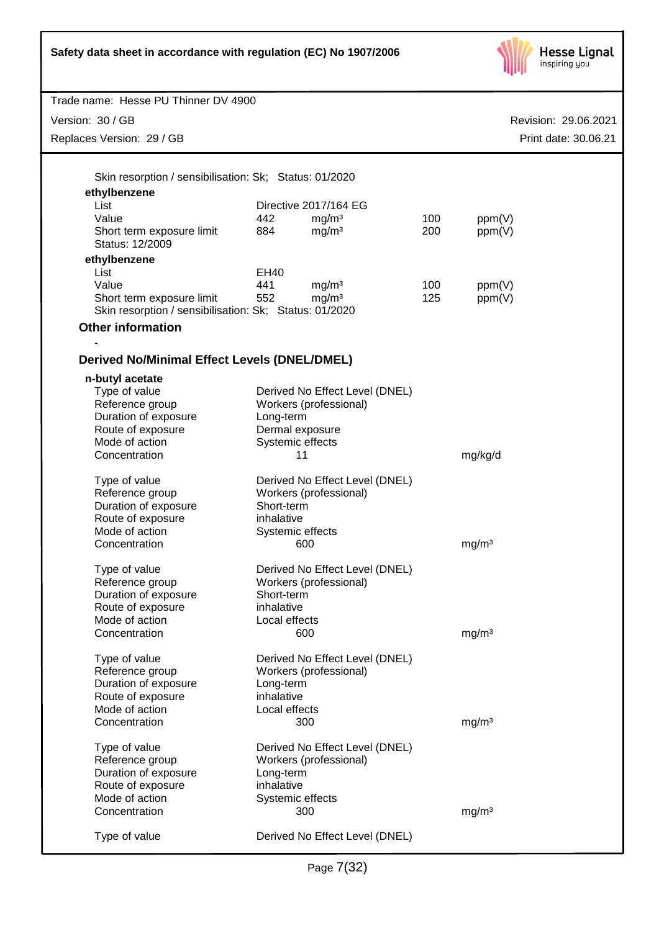

| Trade name: Hesse PU Thinner DV 4900                   |                                |                                        |            |                      |
|--------------------------------------------------------|--------------------------------|----------------------------------------|------------|----------------------|
| Version: 30 / GB                                       |                                |                                        |            | Revision: 29.06.2021 |
| Replaces Version: 29 / GB                              |                                |                                        |            | Print date: 30.06.21 |
|                                                        |                                |                                        |            |                      |
|                                                        |                                |                                        |            |                      |
| Skin resorption / sensibilisation: Sk; Status: 01/2020 |                                |                                        |            |                      |
| ethylbenzene                                           |                                |                                        |            |                      |
| List<br>Value                                          |                                | Directive 2017/164 EG                  |            |                      |
| Short term exposure limit                              | 442<br>884                     | mg/m <sup>3</sup><br>mg/m <sup>3</sup> | 100<br>200 | ppm(V)<br>ppm(V)     |
| Status: 12/2009                                        |                                |                                        |            |                      |
| ethylbenzene                                           |                                |                                        |            |                      |
| List                                                   | EH40                           |                                        |            |                      |
| Value                                                  | 441                            | mg/m <sup>3</sup>                      | 100        | ppm(V)               |
| Short term exposure limit                              | 552                            | mg/m <sup>3</sup>                      | 125        | ppm(V)               |
| Skin resorption / sensibilisation: Sk; Status: 01/2020 |                                |                                        |            |                      |
| <b>Other information</b>                               |                                |                                        |            |                      |
|                                                        |                                |                                        |            |                      |
| <b>Derived No/Minimal Effect Levels (DNEL/DMEL)</b>    |                                |                                        |            |                      |
|                                                        |                                |                                        |            |                      |
| n-butyl acetate<br>Type of value                       |                                | Derived No Effect Level (DNEL)         |            |                      |
| Reference group                                        |                                | Workers (professional)                 |            |                      |
| Duration of exposure                                   | Long-term                      |                                        |            |                      |
| Route of exposure                                      | Dermal exposure                |                                        |            |                      |
| Mode of action                                         | Systemic effects               |                                        |            |                      |
| Concentration                                          | 11                             |                                        |            | mg/kg/d              |
|                                                        |                                |                                        |            |                      |
| Type of value                                          |                                | Derived No Effect Level (DNEL)         |            |                      |
| Reference group                                        |                                | Workers (professional)                 |            |                      |
| Duration of exposure                                   | Short-term                     |                                        |            |                      |
| Route of exposure<br>Mode of action                    | inhalative<br>Systemic effects |                                        |            |                      |
| Concentration                                          |                                | 600                                    |            | mg/m <sup>3</sup>    |
|                                                        |                                |                                        |            |                      |
| Type of value                                          |                                | Derived No Effect Level (DNEL)         |            |                      |
| Reference group                                        |                                | Workers (professional)                 |            |                      |
| Duration of exposure                                   | Short-term                     |                                        |            |                      |
| Route of exposure                                      | inhalative                     |                                        |            |                      |
| Mode of action                                         | Local effects                  |                                        |            |                      |
| Concentration                                          |                                | 600                                    |            | mg/m <sup>3</sup>    |
| Type of value                                          |                                | Derived No Effect Level (DNEL)         |            |                      |
| Reference group                                        |                                | Workers (professional)                 |            |                      |
| Duration of exposure                                   | Long-term                      |                                        |            |                      |
| Route of exposure                                      | inhalative                     |                                        |            |                      |
| Mode of action                                         | Local effects                  |                                        |            |                      |
| Concentration                                          |                                | 300                                    |            | mg/m <sup>3</sup>    |
|                                                        |                                |                                        |            |                      |
| Type of value                                          |                                | Derived No Effect Level (DNEL)         |            |                      |
| Reference group<br>Duration of exposure                | Long-term                      | Workers (professional)                 |            |                      |
| Route of exposure                                      | inhalative                     |                                        |            |                      |
| Mode of action                                         | Systemic effects               |                                        |            |                      |
| Concentration                                          |                                | 300                                    |            | mg/m <sup>3</sup>    |
|                                                        |                                |                                        |            |                      |
| Type of value                                          |                                | Derived No Effect Level (DNEL)         |            |                      |
|                                                        |                                |                                        |            |                      |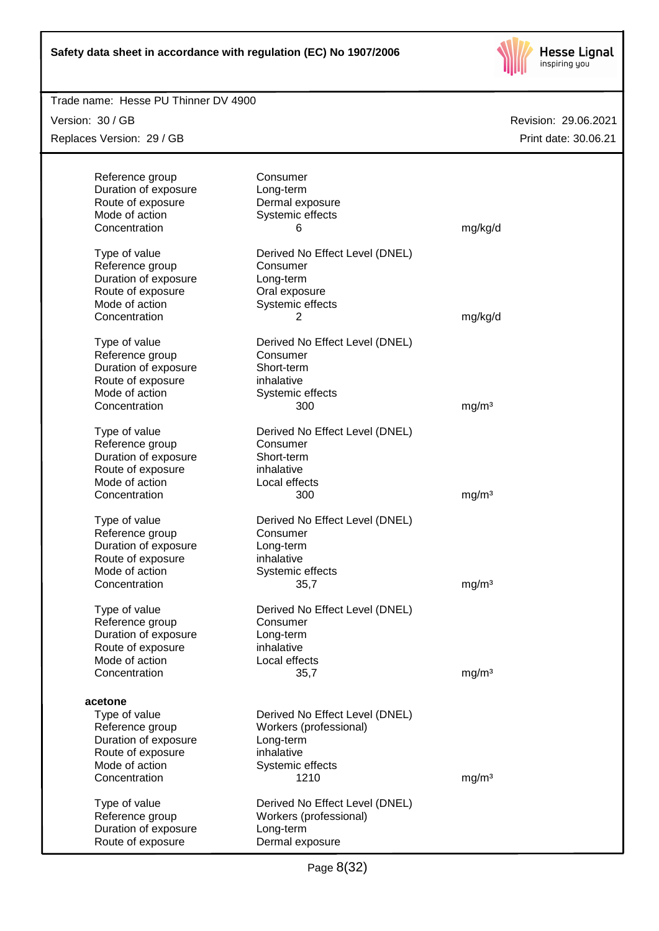

| Trade name: Hesse PU Thinner DV 4900 |                                |                   |                      |
|--------------------------------------|--------------------------------|-------------------|----------------------|
| Version: 30 / GB                     |                                |                   | Revision: 29.06.2021 |
| Replaces Version: 29 / GB            |                                |                   | Print date: 30.06.21 |
|                                      |                                |                   |                      |
| Reference group                      | Consumer                       |                   |                      |
| Duration of exposure                 | Long-term                      |                   |                      |
| Route of exposure                    | Dermal exposure                |                   |                      |
| Mode of action                       | Systemic effects               |                   |                      |
| Concentration                        | 6                              | mg/kg/d           |                      |
| Type of value                        | Derived No Effect Level (DNEL) |                   |                      |
| Reference group                      | Consumer                       |                   |                      |
| Duration of exposure                 | Long-term                      |                   |                      |
| Route of exposure                    | Oral exposure                  |                   |                      |
| Mode of action                       | Systemic effects               |                   |                      |
| Concentration                        | 2                              | mg/kg/d           |                      |
|                                      | Derived No Effect Level (DNEL) |                   |                      |
| Type of value<br>Reference group     | Consumer                       |                   |                      |
|                                      | Short-term                     |                   |                      |
| Duration of exposure                 | inhalative                     |                   |                      |
| Route of exposure<br>Mode of action  |                                |                   |                      |
| Concentration                        | Systemic effects<br>300        |                   |                      |
|                                      |                                | mg/m <sup>3</sup> |                      |
| Type of value                        | Derived No Effect Level (DNEL) |                   |                      |
| Reference group                      | Consumer                       |                   |                      |
| Duration of exposure                 | Short-term                     |                   |                      |
| Route of exposure                    | inhalative                     |                   |                      |
| Mode of action                       | Local effects                  |                   |                      |
| Concentration                        | 300                            | mg/m <sup>3</sup> |                      |
| Type of value                        | Derived No Effect Level (DNEL) |                   |                      |
| Reference group                      | Consumer                       |                   |                      |
| Duration of exposure                 | Long-term                      |                   |                      |
| Route of exposure                    | inhalative                     |                   |                      |
| Mode of action                       | Systemic effects               |                   |                      |
| Concentration                        | 35,7                           | mg/m <sup>3</sup> |                      |
|                                      |                                |                   |                      |
| Type of value                        | Derived No Effect Level (DNEL) |                   |                      |
| Reference group                      | Consumer                       |                   |                      |
| Duration of exposure                 | Long-term                      |                   |                      |
| Route of exposure                    | inhalative                     |                   |                      |
| Mode of action                       | Local effects                  |                   |                      |
| Concentration                        | 35,7                           | mg/m <sup>3</sup> |                      |
| acetone                              |                                |                   |                      |
| Type of value                        | Derived No Effect Level (DNEL) |                   |                      |
| Reference group                      | Workers (professional)         |                   |                      |
| Duration of exposure                 | Long-term                      |                   |                      |
| Route of exposure                    | inhalative                     |                   |                      |
| Mode of action                       | Systemic effects               |                   |                      |
| Concentration                        | 1210                           | mg/m <sup>3</sup> |                      |
|                                      |                                |                   |                      |
| Type of value                        | Derived No Effect Level (DNEL) |                   |                      |
| Reference group                      | Workers (professional)         |                   |                      |
| Duration of exposure                 | Long-term                      |                   |                      |
| Route of exposure                    | Dermal exposure                |                   |                      |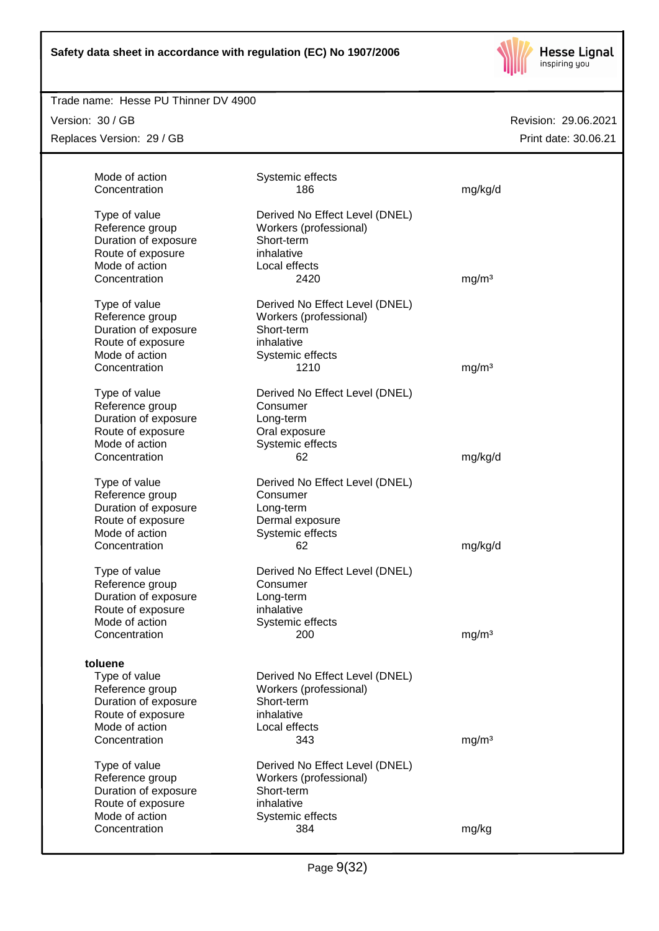

### Trade name: Hesse PU Thinner DV 4900

Version: 30 / GB Replaces Version: 29 / GB

| Mode of action<br>Concentration                                                                            | Systemic effects<br>186                                                                                  | mg/kg/d           |
|------------------------------------------------------------------------------------------------------------|----------------------------------------------------------------------------------------------------------|-------------------|
| Type of value<br>Reference group<br>Duration of exposure<br>Route of exposure<br>Mode of action            | Derived No Effect Level (DNEL)<br>Workers (professional)<br>Short-term<br>inhalative<br>Local effects    |                   |
| Concentration                                                                                              | 2420                                                                                                     | mg/m <sup>3</sup> |
| Type of value<br>Reference group<br>Duration of exposure<br>Route of exposure<br>Mode of action            | Derived No Effect Level (DNEL)<br>Workers (professional)<br>Short-term<br>inhalative<br>Systemic effects |                   |
| Concentration                                                                                              | 1210                                                                                                     | mg/m <sup>3</sup> |
| Type of value<br>Reference group<br>Duration of exposure<br>Route of exposure<br>Mode of action            | Derived No Effect Level (DNEL)<br>Consumer<br>Long-term<br>Oral exposure<br>Systemic effects             |                   |
| Concentration                                                                                              | 62                                                                                                       | mg/kg/d           |
| Type of value<br>Reference group<br>Duration of exposure<br>Route of exposure<br>Mode of action            | Derived No Effect Level (DNEL)<br>Consumer<br>Long-term<br>Dermal exposure<br>Systemic effects           |                   |
| Concentration                                                                                              | 62                                                                                                       | mg/kg/d           |
| Type of value<br>Reference group<br>Duration of exposure<br>Route of exposure<br>Mode of action            | Derived No Effect Level (DNEL)<br>Consumer<br>Long-term<br>inhalative<br>Systemic effects                |                   |
| Concentration                                                                                              | 200                                                                                                      | mg/m <sup>3</sup> |
| toluene<br>Type of value<br>Reference group<br>Duration of exposure<br>Route of exposure<br>Mode of action | Derived No Effect Level (DNEL)<br>Workers (professional)<br>Short-term<br>inhalative<br>Local effects    |                   |
| Concentration                                                                                              | 343                                                                                                      | mg/m <sup>3</sup> |
| Type of value<br>Reference group<br>Duration of exposure<br>Route of exposure                              | Derived No Effect Level (DNEL)<br>Workers (professional)<br>Short-term<br>inhalative                     |                   |
| Mode of action<br>Concentration                                                                            | Systemic effects<br>384                                                                                  | mg/kg             |
|                                                                                                            |                                                                                                          |                   |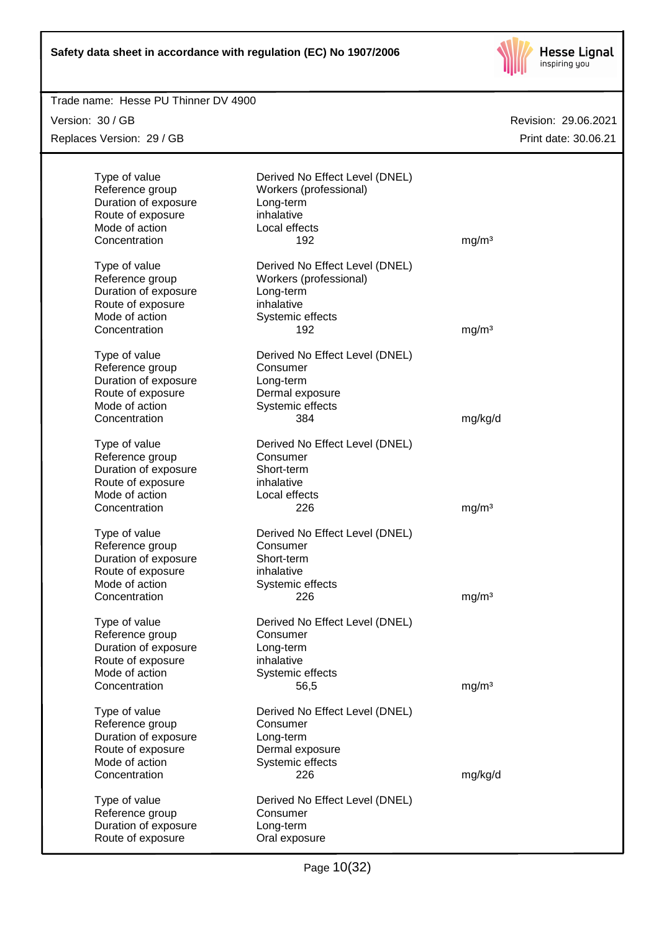

| Trade name: Hesse PU Thinner DV 4900 |                                |                      |
|--------------------------------------|--------------------------------|----------------------|
| Version: 30 / GB                     |                                | Revision: 29.06.2021 |
| Replaces Version: 29 / GB            |                                | Print date: 30.06.21 |
|                                      |                                |                      |
| Type of value                        | Derived No Effect Level (DNEL) |                      |
| Reference group                      | Workers (professional)         |                      |
| Duration of exposure                 | Long-term                      |                      |
| Route of exposure                    | inhalative                     |                      |
| Mode of action                       | Local effects                  |                      |
| Concentration                        | 192                            | mg/m <sup>3</sup>    |
| Type of value                        | Derived No Effect Level (DNEL) |                      |
| Reference group                      | Workers (professional)         |                      |
| Duration of exposure                 | Long-term                      |                      |
| Route of exposure                    | inhalative                     |                      |
| Mode of action                       | Systemic effects               |                      |
| Concentration                        | 192                            | mg/m <sup>3</sup>    |
|                                      |                                |                      |
| Type of value                        | Derived No Effect Level (DNEL) |                      |
| Reference group                      | Consumer                       |                      |
| Duration of exposure                 | Long-term                      |                      |
| Route of exposure                    | Dermal exposure                |                      |
| Mode of action                       | Systemic effects               |                      |
| Concentration                        | 384                            | mg/kg/d              |
|                                      |                                |                      |
| Type of value                        | Derived No Effect Level (DNEL) |                      |
| Reference group                      | Consumer                       |                      |
| Duration of exposure                 | Short-term                     |                      |
| Route of exposure                    | inhalative                     |                      |
| Mode of action                       | Local effects                  |                      |
| Concentration                        | 226                            | mg/m <sup>3</sup>    |
| Type of value                        | Derived No Effect Level (DNEL) |                      |
| Reference group                      | Consumer                       |                      |
| Duration of exposure                 | Short-term                     |                      |
| Route of exposure                    | inhalative                     |                      |
| Mode of action                       | Systemic effects               |                      |
| Concentration                        | 226                            | mg/m <sup>3</sup>    |
|                                      |                                |                      |
| Type of value                        | Derived No Effect Level (DNEL) |                      |
| Reference group                      | Consumer                       |                      |
| Duration of exposure                 | Long-term                      |                      |
| Route of exposure                    | inhalative                     |                      |
| Mode of action                       | Systemic effects               |                      |
| Concentration                        | 56,5                           | mg/m <sup>3</sup>    |
| Type of value                        | Derived No Effect Level (DNEL) |                      |
| Reference group                      | Consumer                       |                      |
| Duration of exposure                 | Long-term                      |                      |
| Route of exposure                    | Dermal exposure                |                      |
| Mode of action                       | Systemic effects               |                      |
| Concentration                        | 226                            | mg/kg/d              |
|                                      |                                |                      |
| Type of value                        | Derived No Effect Level (DNEL) |                      |
| Reference group                      | Consumer                       |                      |
| Duration of exposure                 | Long-term                      |                      |
| Route of exposure                    | Oral exposure                  |                      |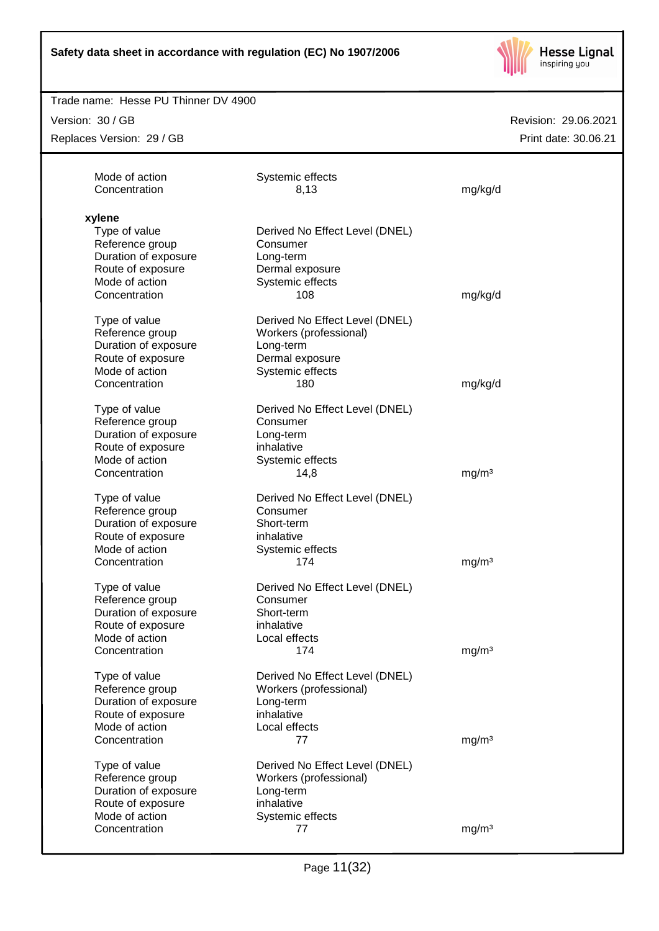

#### Trade name: Hesse PU Thinner DV 4900

Version: 30 / GB

Replaces Version: 29 / GB

| Mode of action<br>Concentration | Systemic effects<br>8,13       | mg/kg/d           |
|---------------------------------|--------------------------------|-------------------|
| xylene                          |                                |                   |
| Type of value                   | Derived No Effect Level (DNEL) |                   |
| Reference group                 | Consumer                       |                   |
| Duration of exposure            | Long-term                      |                   |
| Route of exposure               | Dermal exposure                |                   |
| Mode of action                  | Systemic effects               |                   |
| Concentration                   | 108                            | mg/kg/d           |
| Type of value                   | Derived No Effect Level (DNEL) |                   |
| Reference group                 | Workers (professional)         |                   |
| Duration of exposure            | Long-term                      |                   |
| Route of exposure               | Dermal exposure                |                   |
| Mode of action                  | Systemic effects               |                   |
| Concentration                   | 180                            | mg/kg/d           |
|                                 |                                |                   |
| Type of value                   | Derived No Effect Level (DNEL) |                   |
| Reference group                 | Consumer                       |                   |
| Duration of exposure            | Long-term                      |                   |
| Route of exposure               | inhalative                     |                   |
| Mode of action                  | Systemic effects               |                   |
| Concentration                   | 14,8                           | mg/m <sup>3</sup> |
| Type of value                   | Derived No Effect Level (DNEL) |                   |
| Reference group                 | Consumer                       |                   |
| Duration of exposure            | Short-term                     |                   |
| Route of exposure               | inhalative                     |                   |
| Mode of action                  | Systemic effects               |                   |
| Concentration                   | 174                            | mg/m <sup>3</sup> |
| Type of value                   | Derived No Effect Level (DNEL) |                   |
| Reference group                 | Consumer                       |                   |
| Duration of exposure            | Short-term                     |                   |
| Route of exposure               | inhalative                     |                   |
| Mode of action                  | Local effects                  |                   |
| Concentration                   | 174                            | mq/m <sup>3</sup> |
|                                 |                                |                   |
| Type of value                   | Derived No Effect Level (DNEL) |                   |
| Reference group                 | Workers (professional)         |                   |
| Duration of exposure            | Long-term                      |                   |
| Route of exposure               | inhalative                     |                   |
| Mode of action                  | Local effects                  |                   |
| Concentration                   | 77                             | mg/m <sup>3</sup> |
| Type of value                   | Derived No Effect Level (DNEL) |                   |
| Reference group                 | Workers (professional)         |                   |
| Duration of exposure            | Long-term                      |                   |
| Route of exposure               | inhalative                     |                   |
|                                 |                                |                   |
| Mode of action                  | Systemic effects               |                   |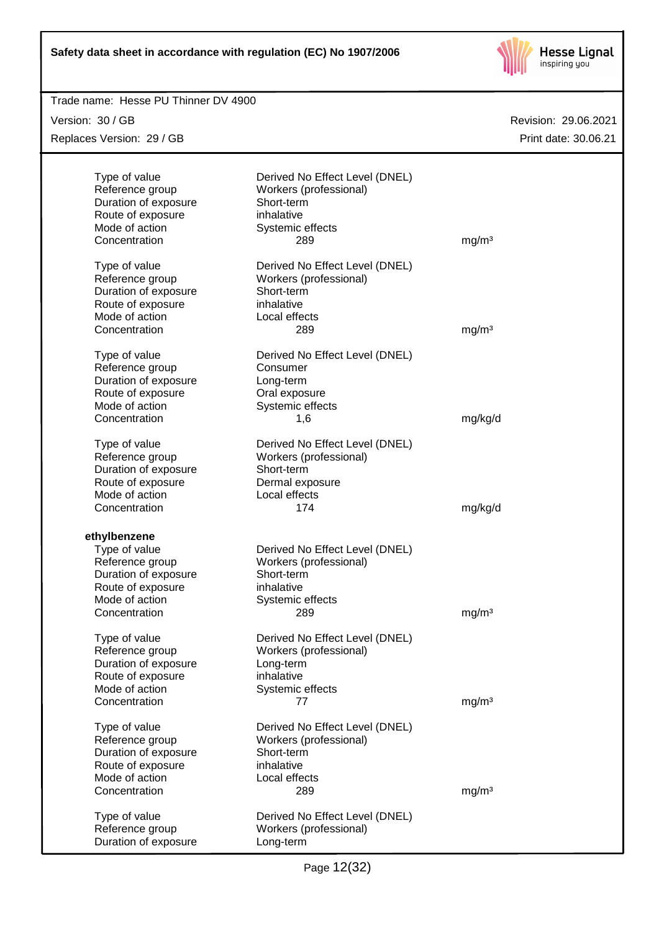

| Trade name: Hesse PU Thinner DV 4900 |                                |                      |
|--------------------------------------|--------------------------------|----------------------|
| Version: 30 / GB                     |                                | Revision: 29.06.2021 |
| Replaces Version: 29 / GB            |                                | Print date: 30.06.21 |
|                                      |                                |                      |
| Type of value                        | Derived No Effect Level (DNEL) |                      |
| Reference group                      | Workers (professional)         |                      |
| Duration of exposure                 | Short-term                     |                      |
| Route of exposure                    | inhalative                     |                      |
| Mode of action                       | Systemic effects               |                      |
| Concentration                        | 289                            | mg/m <sup>3</sup>    |
| Type of value                        | Derived No Effect Level (DNEL) |                      |
| Reference group                      | Workers (professional)         |                      |
| Duration of exposure                 | Short-term                     |                      |
| Route of exposure                    | inhalative                     |                      |
| Mode of action                       | Local effects                  |                      |
| Concentration                        | 289                            | mg/m <sup>3</sup>    |
| Type of value                        | Derived No Effect Level (DNEL) |                      |
| Reference group                      | Consumer                       |                      |
| Duration of exposure                 | Long-term                      |                      |
| Route of exposure                    | Oral exposure                  |                      |
| Mode of action                       | Systemic effects               |                      |
| Concentration                        | 1,6                            | mg/kg/d              |
| Type of value                        | Derived No Effect Level (DNEL) |                      |
| Reference group                      | Workers (professional)         |                      |
| Duration of exposure                 | Short-term                     |                      |
| Route of exposure                    | Dermal exposure                |                      |
| Mode of action                       | Local effects                  |                      |
| Concentration                        | 174                            | mg/kg/d              |
| ethylbenzene                         |                                |                      |
| Type of value                        | Derived No Effect Level (DNEL) |                      |
| Reference group                      | Workers (professional)         |                      |
| Duration of exposure                 | Short-term                     |                      |
| Route of exposure                    | inhalative                     |                      |
| Mode of action                       | Systemic effects               |                      |
| Concentration                        | 289                            | mg/m <sup>3</sup>    |
| Type of value                        | Derived No Effect Level (DNEL) |                      |
| Reference group                      | Workers (professional)         |                      |
| Duration of exposure                 | Long-term                      |                      |
| Route of exposure                    | inhalative                     |                      |
| Mode of action                       | Systemic effects               |                      |
| Concentration                        | 77                             | mg/m <sup>3</sup>    |
| Type of value                        | Derived No Effect Level (DNEL) |                      |
| Reference group                      | Workers (professional)         |                      |
| Duration of exposure                 | Short-term                     |                      |
| Route of exposure                    | inhalative                     |                      |
| Mode of action                       | Local effects                  |                      |
| Concentration                        | 289                            | mg/m <sup>3</sup>    |
| Type of value                        | Derived No Effect Level (DNEL) |                      |
| Reference group                      | Workers (professional)         |                      |
| Duration of exposure                 | Long-term                      |                      |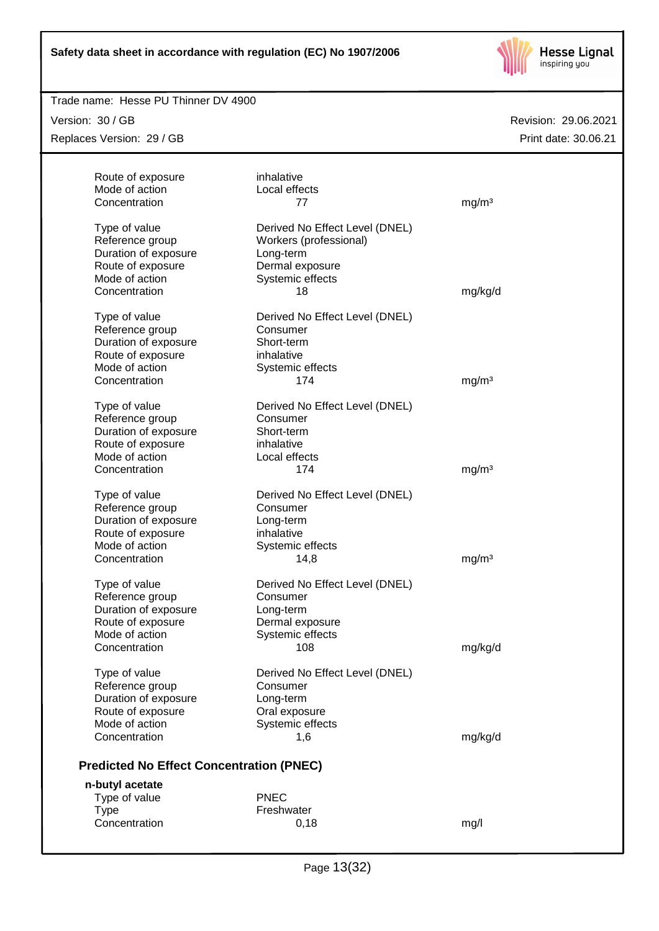

| Trade name: Hesse PU Thinner DV 4900            |                                |                      |
|-------------------------------------------------|--------------------------------|----------------------|
| Version: 30 / GB                                |                                | Revision: 29.06.2021 |
| Replaces Version: 29 / GB                       |                                | Print date: 30.06.21 |
|                                                 |                                |                      |
| Route of exposure                               | inhalative                     |                      |
| Mode of action                                  | Local effects                  |                      |
| Concentration                                   | 77                             | mg/m <sup>3</sup>    |
| Type of value                                   | Derived No Effect Level (DNEL) |                      |
| Reference group                                 | Workers (professional)         |                      |
| Duration of exposure                            | Long-term                      |                      |
| Route of exposure                               | Dermal exposure                |                      |
| Mode of action                                  | Systemic effects               |                      |
| Concentration                                   | 18                             | mg/kg/d              |
|                                                 |                                |                      |
| Type of value                                   | Derived No Effect Level (DNEL) |                      |
| Reference group                                 | Consumer                       |                      |
| Duration of exposure                            | Short-term                     |                      |
| Route of exposure                               | inhalative                     |                      |
| Mode of action                                  | Systemic effects               |                      |
| Concentration                                   | 174                            | mg/m <sup>3</sup>    |
| Type of value                                   | Derived No Effect Level (DNEL) |                      |
| Reference group                                 | Consumer                       |                      |
| Duration of exposure                            | Short-term                     |                      |
| Route of exposure                               | inhalative                     |                      |
| Mode of action                                  | Local effects                  |                      |
| Concentration                                   | 174                            | mg/m <sup>3</sup>    |
| Type of value                                   | Derived No Effect Level (DNEL) |                      |
| Reference group                                 | Consumer                       |                      |
| Duration of exposure                            | Long-term                      |                      |
| Route of exposure                               | inhalative                     |                      |
| Mode of action                                  | Systemic effects               |                      |
| Concentration                                   | 14,8                           | mg/m <sup>3</sup>    |
|                                                 |                                |                      |
| Type of value                                   | Derived No Effect Level (DNEL) |                      |
| Reference group                                 | Consumer                       |                      |
| Duration of exposure                            | Long-term                      |                      |
| Route of exposure                               | Dermal exposure                |                      |
| Mode of action                                  | Systemic effects               |                      |
| Concentration                                   | 108                            | mg/kg/d              |
| Type of value                                   | Derived No Effect Level (DNEL) |                      |
| Reference group                                 | Consumer                       |                      |
| Duration of exposure                            | Long-term                      |                      |
| Route of exposure                               | Oral exposure                  |                      |
| Mode of action                                  | Systemic effects               |                      |
| Concentration                                   | 1,6                            | mg/kg/d              |
|                                                 |                                |                      |
| <b>Predicted No Effect Concentration (PNEC)</b> |                                |                      |
| n-butyl acetate                                 |                                |                      |
| Type of value                                   | <b>PNEC</b>                    |                      |
| <b>Type</b>                                     | Freshwater                     |                      |
| Concentration                                   | 0,18                           | mg/l                 |
|                                                 |                                |                      |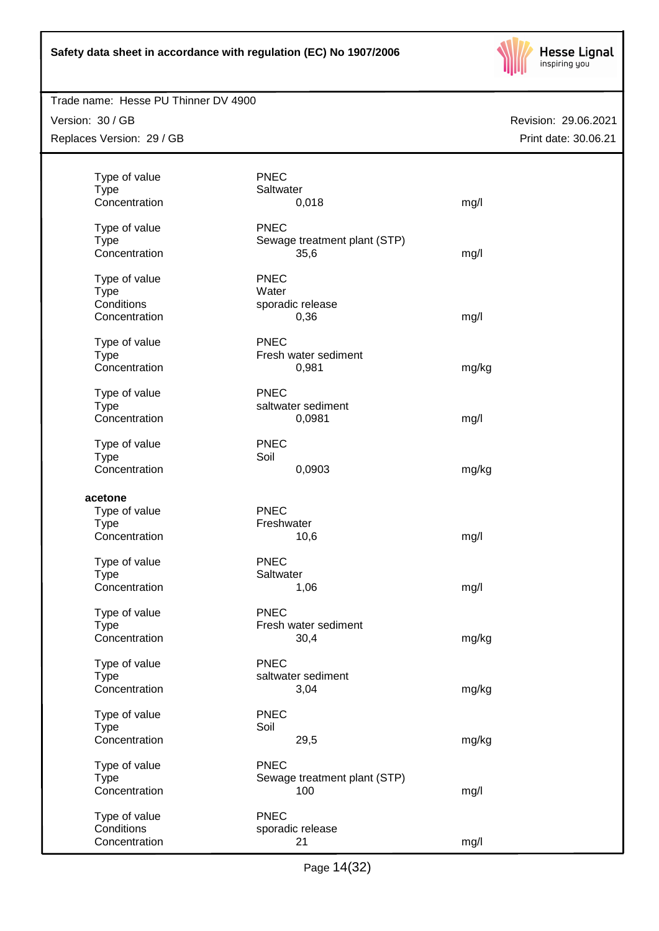

## Trade name: Hesse PU Thinner DV 4900

Version: 30 / GB Replaces Version: 29 / GB

|               | <b>PNEC</b>                  |       |
|---------------|------------------------------|-------|
| Type of value |                              |       |
| <b>Type</b>   | Saltwater                    |       |
| Concentration | 0,018                        | mg/l  |
| Type of value | <b>PNEC</b>                  |       |
| <b>Type</b>   | Sewage treatment plant (STP) |       |
| Concentration | 35,6                         | mg/l  |
|               |                              |       |
| Type of value | <b>PNEC</b>                  |       |
| <b>Type</b>   | Water                        |       |
| Conditions    | sporadic release             |       |
| Concentration | 0,36                         | mg/l  |
|               |                              |       |
| Type of value | <b>PNEC</b>                  |       |
| <b>Type</b>   | Fresh water sediment         |       |
| Concentration | 0,981                        | mg/kg |
|               |                              |       |
| Type of value | <b>PNEC</b>                  |       |
| <b>Type</b>   | saltwater sediment           |       |
| Concentration | 0,0981                       | mg/l  |
|               |                              |       |
| Type of value | <b>PNEC</b>                  |       |
| <b>Type</b>   | Soil                         |       |
| Concentration | 0,0903                       |       |
|               |                              | mg/kg |
| acetone       |                              |       |
| Type of value | <b>PNEC</b>                  |       |
|               | Freshwater                   |       |
| <b>Type</b>   |                              |       |
| Concentration | 10,6                         | mg/l  |
| Type of value | <b>PNEC</b>                  |       |
| <b>Type</b>   | Saltwater                    |       |
|               |                              |       |
| Concentration | 1,06                         | mg/l  |
| Type of value | <b>PNEC</b>                  |       |
| <b>Type</b>   | Fresh water sediment         |       |
| Concentration | 30,4                         | mg/kg |
|               |                              |       |
| Type of value | <b>PNEC</b>                  |       |
| <b>Type</b>   | saltwater sediment           |       |
|               |                              |       |
| Concentration | 3,04                         | mg/kg |
| Type of value | <b>PNEC</b>                  |       |
| <b>Type</b>   | Soil                         |       |
| Concentration |                              |       |
|               | 29,5                         | mg/kg |
| Type of value | <b>PNEC</b>                  |       |
| <b>Type</b>   | Sewage treatment plant (STP) |       |
| Concentration | 100                          | mg/l  |
|               |                              |       |
| Type of value | <b>PNEC</b>                  |       |
| Conditions    | sporadic release             |       |
| Concentration | 21                           | mg/l  |
|               |                              |       |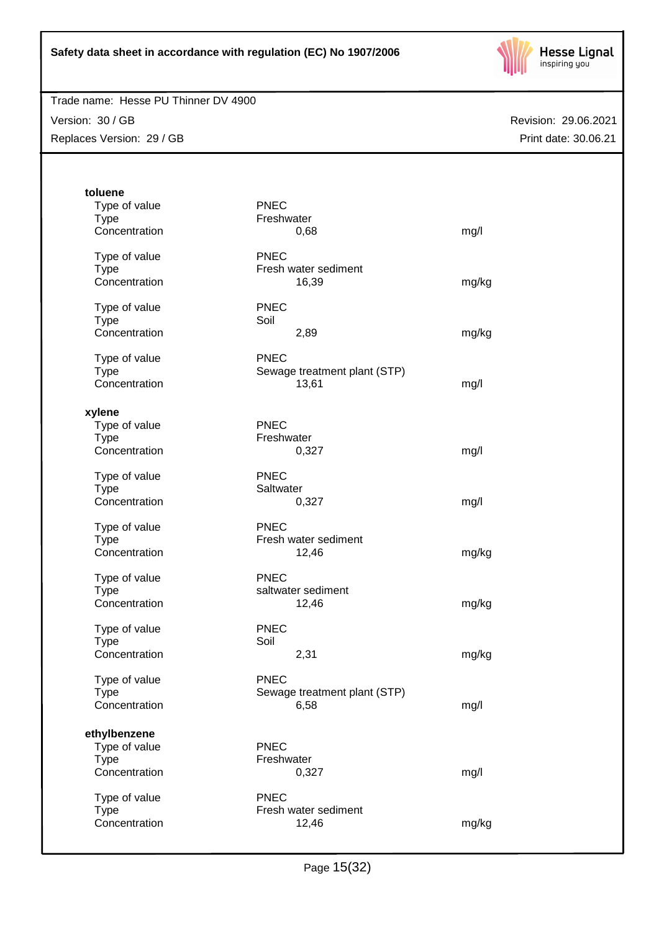

## Trade name: Hesse PU Thinner DV 4900

Version: 30 / GB Replaces Version: 29 / GB

| toluene                       |                              |       |
|-------------------------------|------------------------------|-------|
| Type of value                 | <b>PNEC</b>                  |       |
| <b>Type</b><br>Concentration  | Freshwater<br>0,68           |       |
|                               |                              | mg/l  |
| Type of value                 | <b>PNEC</b>                  |       |
| <b>Type</b>                   | Fresh water sediment         |       |
| Concentration                 | 16,39                        | mg/kg |
| Type of value                 | <b>PNEC</b>                  |       |
| <b>Type</b>                   | Soil                         |       |
| Concentration                 | 2,89                         | mg/kg |
| Type of value                 | <b>PNEC</b>                  |       |
| <b>Type</b>                   | Sewage treatment plant (STP) |       |
| Concentration                 | 13,61                        | mg/l  |
|                               |                              |       |
| xylene                        |                              |       |
| Type of value                 | <b>PNEC</b>                  |       |
| <b>Type</b>                   | Freshwater                   |       |
| Concentration                 | 0,327                        | mg/l  |
| Type of value                 | <b>PNEC</b>                  |       |
| <b>Type</b>                   | Saltwater                    |       |
| Concentration                 | 0,327                        | mg/l  |
| Type of value                 | <b>PNEC</b>                  |       |
| <b>Type</b>                   | Fresh water sediment         |       |
| Concentration                 | 12,46                        | mg/kg |
| Type of value                 | <b>PNEC</b>                  |       |
| <b>Type</b>                   | saltwater sediment           |       |
| Concentration                 | 12,46                        | mg/kg |
| Type of value                 | <b>PNEC</b>                  |       |
| <b>Type</b>                   | Soil                         |       |
| Concentration                 | 2,31                         | mg/kg |
| Type of value                 | <b>PNEC</b>                  |       |
| <b>Type</b>                   | Sewage treatment plant (STP) |       |
| Concentration                 | 6,58                         | mg/l  |
|                               |                              |       |
| ethylbenzene<br>Type of value | <b>PNEC</b>                  |       |
| Type                          | Freshwater                   |       |
| Concentration                 | 0,327                        | mg/l  |
|                               |                              |       |
| Type of value                 | <b>PNEC</b>                  |       |
| <b>Type</b>                   | Fresh water sediment         |       |
| Concentration                 | 12,46                        | mg/kg |
|                               |                              |       |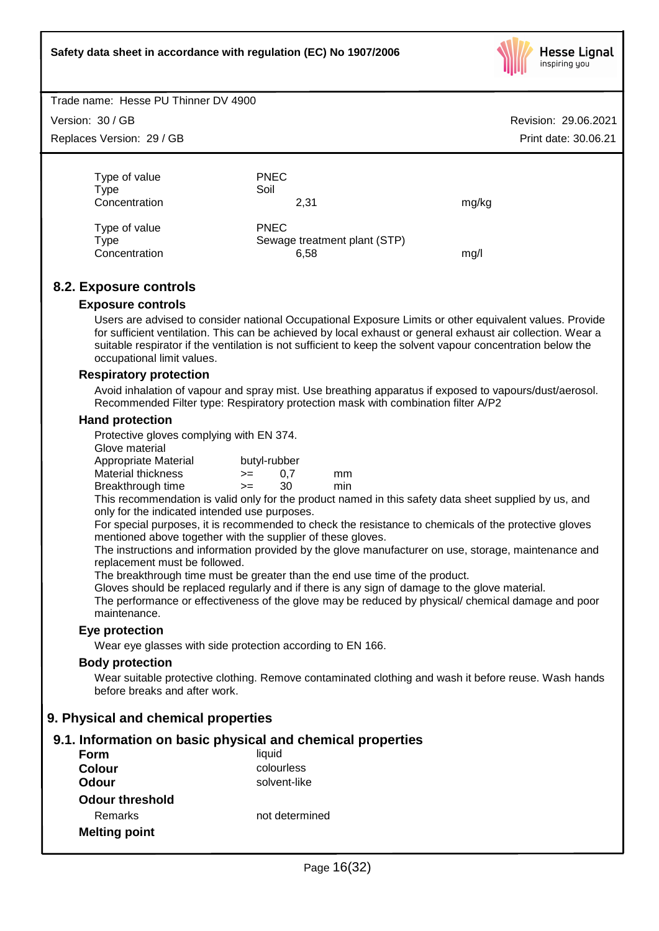

Trade name: Hesse PU Thinner DV 4900

Version: 30 / GB

Replaces Version: 29 / GB

Revision: 29.06.2021 Print date: 30.06.21

| Type of value<br>Type<br>Concentration | <b>PNEC</b><br>Soil<br>2.31                         | mg/kg |
|----------------------------------------|-----------------------------------------------------|-------|
| Type of value<br>Type<br>Concentration | <b>PNEC</b><br>Sewage treatment plant (STP)<br>6,58 | mq/l  |

## **8.2. Exposure controls**

#### **Exposure controls**

Users are advised to consider national Occupational Exposure Limits or other equivalent values. Provide for sufficient ventilation. This can be achieved by local exhaust or general exhaust air collection. Wear a suitable respirator if the ventilation is not sufficient to keep the solvent vapour concentration below the occupational limit values.

#### **Respiratory protection**

Avoid inhalation of vapour and spray mist. Use breathing apparatus if exposed to vapours/dust/aerosol. Recommended Filter type: Respiratory protection mask with combination filter A/P2

#### **Hand protection**

Protective gloves complying with EN 374.

Glove material

| -------------                                                                                                  |              |     |     |
|----------------------------------------------------------------------------------------------------------------|--------------|-----|-----|
| Appropriate Material                                                                                           | butyl-rubber |     |     |
| Material thickness                                                                                             | $>=$         | 0.7 | mm  |
| Breakthrough time                                                                                              | $>=$         | 30  | min |
| The basis of the common sections of the control of the first state of the section of the common section of the |              |     |     |

This recommendation is valid only for the product named in this safety data sheet supplied by us, and only for the indicated intended use purposes.

For special purposes, it is recommended to check the resistance to chemicals of the protective gloves mentioned above together with the supplier of these gloves.

The instructions and information provided by the glove manufacturer on use, storage, maintenance and replacement must be followed.

The breakthrough time must be greater than the end use time of the product.

Gloves should be replaced regularly and if there is any sign of damage to the glove material.

The performance or effectiveness of the glove may be reduced by physical/ chemical damage and poor maintenance.

#### **Eye protection**

Wear eye glasses with side protection according to EN 166.

#### **Body protection**

Wear suitable protective clothing. Remove contaminated clothing and wash it before reuse. Wash hands before breaks and after work.

## **9. Physical and chemical properties**

#### **9.1. Information on basic physical and chemical properties**

| Form                   | liquid         |
|------------------------|----------------|
| <b>Colour</b>          | colourless     |
| Odour                  | solvent-like   |
| <b>Odour threshold</b> |                |
| Remarks                | not determined |
| <b>Melting point</b>   |                |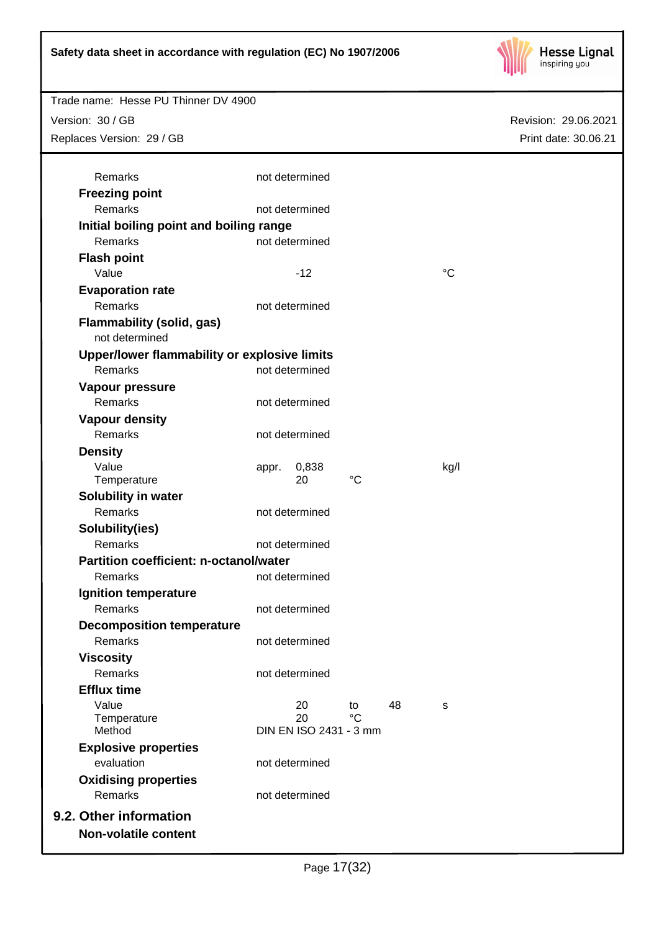

Revision: 29.06.2021

Print date: 30.06.21

Trade name: Hesse PU Thinner DV 4900

Version: 30 / GB

Replaces Version: 29 / GB

| <b>Freezing point</b>                              |       |                        |          |    |                 |  |
|----------------------------------------------------|-------|------------------------|----------|----|-----------------|--|
| Remarks                                            |       | not determined         |          |    |                 |  |
| Initial boiling point and boiling range            |       |                        |          |    |                 |  |
| Remarks                                            |       | not determined         |          |    |                 |  |
| <b>Flash point</b>                                 |       |                        |          |    |                 |  |
| Value                                              |       | $-12$                  |          |    | $\rm ^{\circ}C$ |  |
| <b>Evaporation rate</b>                            |       |                        |          |    |                 |  |
| Remarks                                            |       | not determined         |          |    |                 |  |
| <b>Flammability (solid, gas)</b><br>not determined |       |                        |          |    |                 |  |
| Upper/lower flammability or explosive limits       |       |                        |          |    |                 |  |
| Remarks                                            |       | not determined         |          |    |                 |  |
| Vapour pressure                                    |       |                        |          |    |                 |  |
| Remarks                                            |       | not determined         |          |    |                 |  |
| <b>Vapour density</b>                              |       |                        |          |    |                 |  |
| Remarks                                            |       | not determined         |          |    |                 |  |
| <b>Density</b>                                     |       |                        |          |    |                 |  |
| Value                                              | appr. | 0,838                  |          |    | kg/l            |  |
| Temperature                                        |       | 20                     | °C       |    |                 |  |
| Solubility in water                                |       |                        |          |    |                 |  |
| Remarks                                            |       | not determined         |          |    |                 |  |
| Solubility(ies)                                    |       |                        |          |    |                 |  |
| Remarks                                            |       | not determined         |          |    |                 |  |
| <b>Partition coefficient: n-octanol/water</b>      |       |                        |          |    |                 |  |
| Remarks                                            |       | not determined         |          |    |                 |  |
| <b>Ignition temperature</b>                        |       |                        |          |    |                 |  |
| Remarks                                            |       | not determined         |          |    |                 |  |
| <b>Decomposition temperature</b>                   |       |                        |          |    |                 |  |
| Remarks                                            |       | not determined         |          |    |                 |  |
| <b>Viscosity</b>                                   |       |                        |          |    |                 |  |
| <b>Remarks</b>                                     |       | not determined         |          |    |                 |  |
| <b>Efflux time</b>                                 |       |                        |          |    |                 |  |
| Value                                              |       | 20<br>20               | to<br>°C | 48 | S               |  |
| Temperature<br>Method                              |       | DIN EN ISO 2431 - 3 mm |          |    |                 |  |
| <b>Explosive properties</b>                        |       |                        |          |    |                 |  |
| evaluation                                         |       | not determined         |          |    |                 |  |
| <b>Oxidising properties</b>                        |       |                        |          |    |                 |  |
| Remarks                                            |       | not determined         |          |    |                 |  |
|                                                    |       |                        |          |    |                 |  |
| 9.2. Other information                             |       |                        |          |    |                 |  |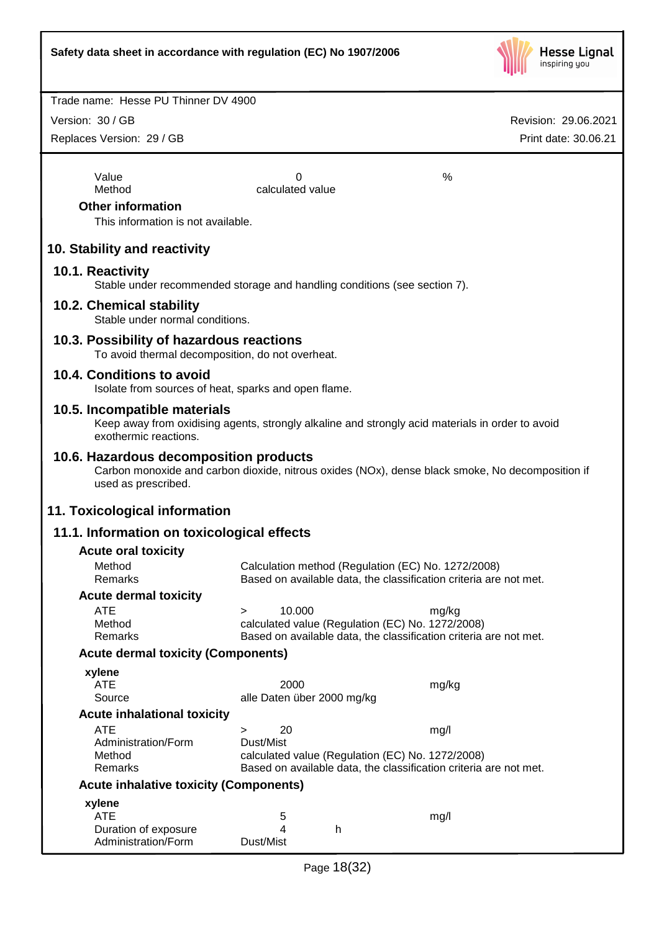

Version: 30 / GB

Replaces Version: 29 / GB

Value  $\sim$  0  $\sim$  %

Method calculated value

#### **Other information**

This information is not available.

## **10. Stability and reactivity**

#### **10.1. Reactivity**

Stable under recommended storage and handling conditions (see section 7).

#### **10.2. Chemical stability**

Stable under normal conditions.

#### **10.3. Possibility of hazardous reactions**

To avoid thermal decomposition, do not overheat.

#### **10.4. Conditions to avoid**

Isolate from sources of heat, sparks and open flame.

#### **10.5. Incompatible materials**

Keep away from oxidising agents, strongly alkaline and strongly acid materials in order to avoid exothermic reactions.

#### **10.6. Hazardous decomposition products**

Carbon monoxide and carbon dioxide, nitrous oxides (NOx), dense black smoke, No decomposition if used as prescribed.

#### **11. Toxicological information**

#### **11.1. Information on toxicological effects**

| <b>Acute oral toxicity</b>                    |           |                            |   |                                                                   |  |
|-----------------------------------------------|-----------|----------------------------|---|-------------------------------------------------------------------|--|
| Method                                        |           |                            |   | Calculation method (Regulation (EC) No. 1272/2008)                |  |
| <b>Remarks</b>                                |           |                            |   | Based on available data, the classification criteria are not met. |  |
| <b>Acute dermal toxicity</b>                  |           |                            |   |                                                                   |  |
| ATE                                           | $\geq$    | 10.000                     |   | mg/kg                                                             |  |
| Method                                        |           |                            |   | calculated value (Regulation (EC) No. 1272/2008)                  |  |
| <b>Remarks</b>                                |           |                            |   | Based on available data, the classification criteria are not met. |  |
| <b>Acute dermal toxicity (Components)</b>     |           |                            |   |                                                                   |  |
| xylene                                        |           |                            |   |                                                                   |  |
| ATE                                           |           | 2000                       |   | mg/kg                                                             |  |
| Source                                        |           | alle Daten über 2000 mg/kg |   |                                                                   |  |
| <b>Acute inhalational toxicity</b>            |           |                            |   |                                                                   |  |
| ATE                                           | $\geq$    | 20                         |   | mg/l                                                              |  |
| Administration/Form                           | Dust/Mist |                            |   |                                                                   |  |
| Method                                        |           |                            |   | calculated value (Regulation (EC) No. 1272/2008)                  |  |
| <b>Remarks</b>                                |           |                            |   | Based on available data, the classification criteria are not met. |  |
| <b>Acute inhalative toxicity (Components)</b> |           |                            |   |                                                                   |  |
| xylene                                        |           |                            |   |                                                                   |  |
| <b>ATE</b>                                    |           | 5                          |   | mg/l                                                              |  |
| Duration of exposure                          |           | 4                          | h |                                                                   |  |
| Administration/Form                           | Dust/Mist |                            |   |                                                                   |  |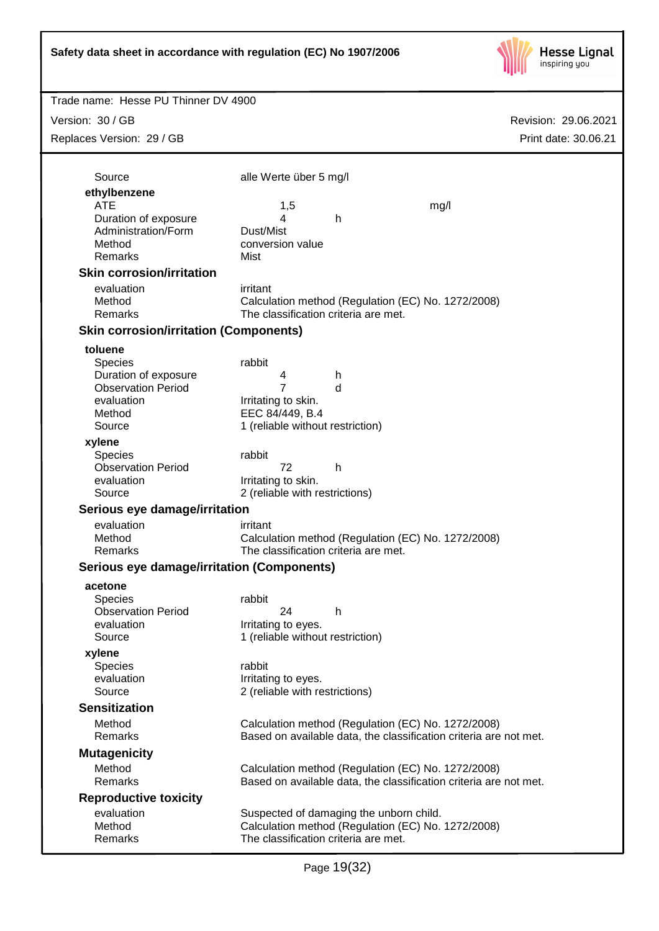

| Trade name: Hesse PU Thinner DV 4900          |                                      |                                                                                                                         |                      |
|-----------------------------------------------|--------------------------------------|-------------------------------------------------------------------------------------------------------------------------|----------------------|
| Version: 30 / GB                              |                                      |                                                                                                                         | Revision: 29.06.2021 |
| Replaces Version: 29 / GB                     |                                      |                                                                                                                         | Print date: 30.06.21 |
|                                               |                                      |                                                                                                                         |                      |
| Source                                        | alle Werte über 5 mg/l               |                                                                                                                         |                      |
| ethylbenzene                                  |                                      |                                                                                                                         |                      |
| <b>ATE</b>                                    | 1,5                                  | mg/l                                                                                                                    |                      |
| Duration of exposure<br>Administration/Form   | 4<br>Dust/Mist                       | $\mathsf{h}$                                                                                                            |                      |
| Method                                        | conversion value                     |                                                                                                                         |                      |
| Remarks                                       | Mist                                 |                                                                                                                         |                      |
| <b>Skin corrosion/irritation</b>              |                                      |                                                                                                                         |                      |
| evaluation                                    | irritant                             |                                                                                                                         |                      |
| Method                                        |                                      | Calculation method (Regulation (EC) No. 1272/2008)                                                                      |                      |
| Remarks                                       | The classification criteria are met. |                                                                                                                         |                      |
| <b>Skin corrosion/irritation (Components)</b> |                                      |                                                                                                                         |                      |
| toluene                                       |                                      |                                                                                                                         |                      |
| <b>Species</b><br>Duration of exposure        | rabbit<br>4                          | h                                                                                                                       |                      |
| <b>Observation Period</b>                     | 7                                    | d                                                                                                                       |                      |
| evaluation                                    | Irritating to skin.                  |                                                                                                                         |                      |
| Method                                        | EEC 84/449, B.4                      |                                                                                                                         |                      |
| Source                                        | 1 (reliable without restriction)     |                                                                                                                         |                      |
| xylene<br><b>Species</b>                      | rabbit                               |                                                                                                                         |                      |
| <b>Observation Period</b>                     | 72                                   | h                                                                                                                       |                      |
| evaluation                                    | Irritating to skin.                  |                                                                                                                         |                      |
| Source                                        | 2 (reliable with restrictions)       |                                                                                                                         |                      |
| Serious eye damage/irritation                 |                                      |                                                                                                                         |                      |
| evaluation                                    | irritant                             |                                                                                                                         |                      |
| Method<br>Remarks                             | The classification criteria are met. | Calculation method (Regulation (EC) No. 1272/2008)                                                                      |                      |
| Serious eye damage/irritation (Components)    |                                      |                                                                                                                         |                      |
| acetone                                       |                                      |                                                                                                                         |                      |
| Species                                       | rabbit                               |                                                                                                                         |                      |
| <b>Observation Period</b>                     | 24                                   | $\mathsf{h}$                                                                                                            |                      |
| evaluation                                    | Irritating to eyes.                  |                                                                                                                         |                      |
| Source                                        | 1 (reliable without restriction)     |                                                                                                                         |                      |
| xylene<br><b>Species</b>                      | rabbit                               |                                                                                                                         |                      |
| evaluation                                    | Irritating to eyes.                  |                                                                                                                         |                      |
| Source                                        | 2 (reliable with restrictions)       |                                                                                                                         |                      |
| <b>Sensitization</b>                          |                                      |                                                                                                                         |                      |
| Method                                        |                                      | Calculation method (Regulation (EC) No. 1272/2008)                                                                      |                      |
| Remarks                                       |                                      | Based on available data, the classification criteria are not met.                                                       |                      |
| <b>Mutagenicity</b>                           |                                      |                                                                                                                         |                      |
| Method<br>Remarks                             |                                      | Calculation method (Regulation (EC) No. 1272/2008)<br>Based on available data, the classification criteria are not met. |                      |
| <b>Reproductive toxicity</b>                  |                                      |                                                                                                                         |                      |
| evaluation                                    |                                      | Suspected of damaging the unborn child.                                                                                 |                      |
| Method                                        |                                      | Calculation method (Regulation (EC) No. 1272/2008)                                                                      |                      |
| Remarks                                       | The classification criteria are met. |                                                                                                                         |                      |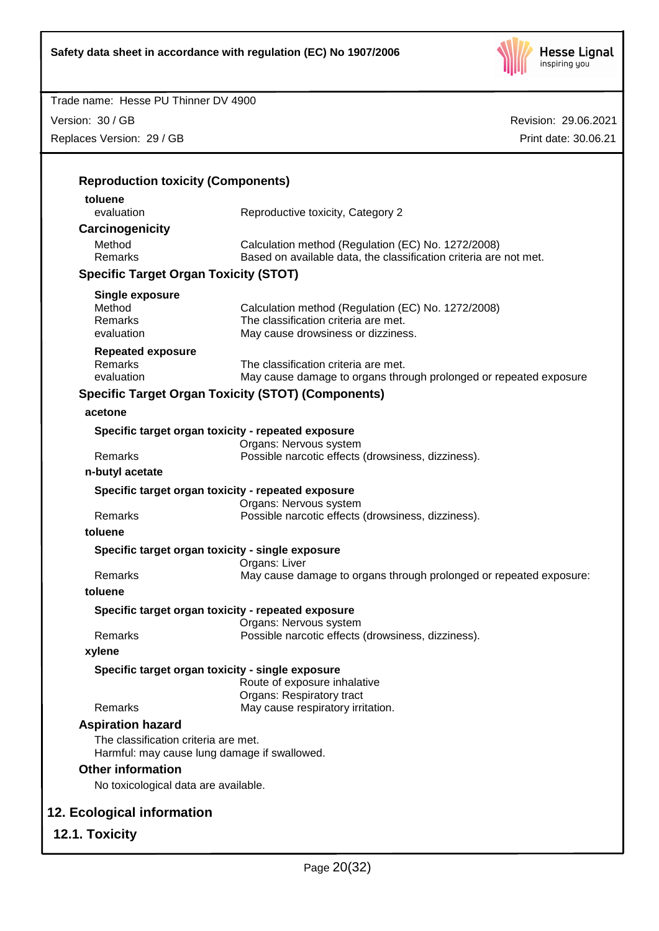

| Trade name: Hesse PU Thinner DV 4900                                                 |                                                                            |                      |
|--------------------------------------------------------------------------------------|----------------------------------------------------------------------------|----------------------|
| Version: 30 / GB                                                                     |                                                                            | Revision: 29.06.2021 |
| Replaces Version: 29 / GB                                                            |                                                                            | Print date: 30.06.21 |
|                                                                                      |                                                                            |                      |
|                                                                                      |                                                                            |                      |
| <b>Reproduction toxicity (Components)</b>                                            |                                                                            |                      |
| toluene                                                                              |                                                                            |                      |
| evaluation                                                                           | Reproductive toxicity, Category 2                                          |                      |
| Carcinogenicity                                                                      |                                                                            |                      |
| Method                                                                               | Calculation method (Regulation (EC) No. 1272/2008)                         |                      |
| Remarks                                                                              | Based on available data, the classification criteria are not met.          |                      |
| <b>Specific Target Organ Toxicity (STOT)</b>                                         |                                                                            |                      |
| <b>Single exposure</b>                                                               |                                                                            |                      |
| Method                                                                               | Calculation method (Regulation (EC) No. 1272/2008)                         |                      |
| Remarks<br>evaluation                                                                | The classification criteria are met.<br>May cause drowsiness or dizziness. |                      |
|                                                                                      |                                                                            |                      |
| <b>Repeated exposure</b><br><b>Remarks</b>                                           | The classification criteria are met.                                       |                      |
| evaluation                                                                           | May cause damage to organs through prolonged or repeated exposure          |                      |
|                                                                                      | <b>Specific Target Organ Toxicity (STOT) (Components)</b>                  |                      |
|                                                                                      |                                                                            |                      |
| acetone                                                                              |                                                                            |                      |
| Specific target organ toxicity - repeated exposure                                   | Organs: Nervous system                                                     |                      |
| Remarks                                                                              | Possible narcotic effects (drowsiness, dizziness).                         |                      |
| n-butyl acetate                                                                      |                                                                            |                      |
|                                                                                      |                                                                            |                      |
| Specific target organ toxicity - repeated exposure                                   | Organs: Nervous system                                                     |                      |
| Remarks                                                                              | Possible narcotic effects (drowsiness, dizziness).                         |                      |
| toluene                                                                              |                                                                            |                      |
| Specific target organ toxicity - single exposure                                     |                                                                            |                      |
|                                                                                      | Organs: Liver                                                              |                      |
| Remarks                                                                              | May cause damage to organs through prolonged or repeated exposure:         |                      |
| toluene                                                                              |                                                                            |                      |
| Specific target organ toxicity - repeated exposure                                   |                                                                            |                      |
|                                                                                      | Organs: Nervous system                                                     |                      |
| Remarks                                                                              | Possible narcotic effects (drowsiness, dizziness).                         |                      |
| xylene                                                                               |                                                                            |                      |
| Specific target organ toxicity - single exposure                                     |                                                                            |                      |
|                                                                                      | Route of exposure inhalative                                               |                      |
| Remarks                                                                              | Organs: Respiratory tract<br>May cause respiratory irritation.             |                      |
|                                                                                      |                                                                            |                      |
| <b>Aspiration hazard</b>                                                             |                                                                            |                      |
| The classification criteria are met.<br>Harmful: may cause lung damage if swallowed. |                                                                            |                      |
| <b>Other information</b>                                                             |                                                                            |                      |
| No toxicological data are available.                                                 |                                                                            |                      |
|                                                                                      |                                                                            |                      |
| 12. Ecological information                                                           |                                                                            |                      |
|                                                                                      |                                                                            |                      |

**12.1. Toxicity**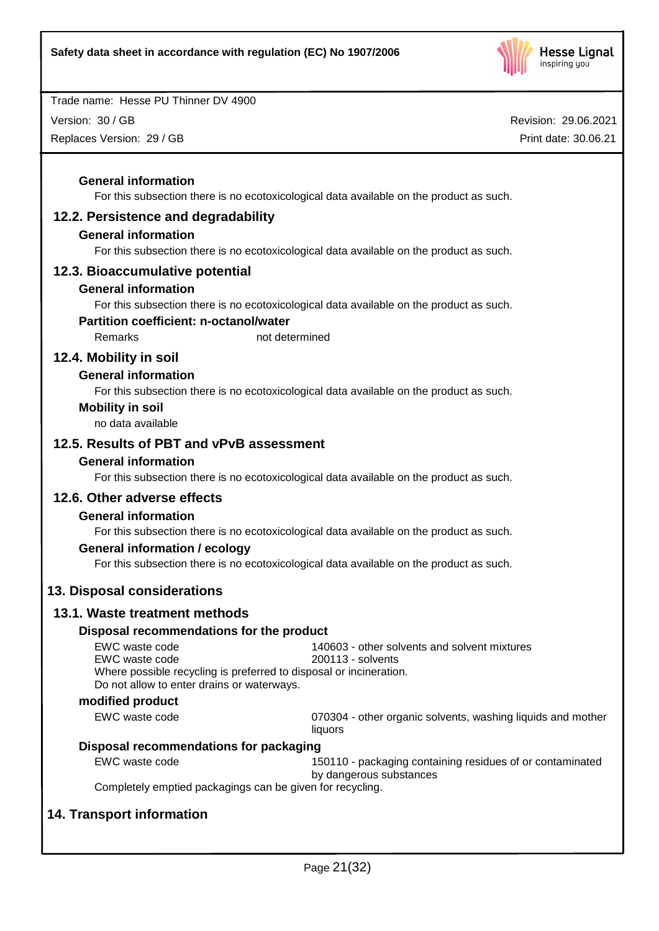

Version: 30 / GB

Replaces Version: 29 / GB

Revision: 29.06.2021 Print date: 30.06.21

#### **General information**

For this subsection there is no ecotoxicological data available on the product as such.

## **12.2. Persistence and degradability**

#### **General information**

For this subsection there is no ecotoxicological data available on the product as such.

#### **12.3. Bioaccumulative potential**

#### **General information**

For this subsection there is no ecotoxicological data available on the product as such.

#### **Partition coefficient: n-octanol/water**

Remarks not determined

## **12.4. Mobility in soil**

#### **General information**

For this subsection there is no ecotoxicological data available on the product as such.

#### **Mobility in soil**

no data available

## **12.5. Results of PBT and vPvB assessment**

#### **General information**

For this subsection there is no ecotoxicological data available on the product as such.

#### **12.6. Other adverse effects**

## **General information**

For this subsection there is no ecotoxicological data available on the product as such.

#### **General information / ecology**

For this subsection there is no ecotoxicological data available on the product as such.

## **13. Disposal considerations**

## **13.1. Waste treatment methods**

#### **Disposal recommendations for the product**

| EWC waste code                                                     | 140603 - other solvents and solvent mixtures |
|--------------------------------------------------------------------|----------------------------------------------|
| EWC waste code                                                     | 200113 - solvents                            |
| Where possible recycling is preferred to disposal or incineration. |                                              |
| Do not allow to enter drains or waterways.                         |                                              |
|                                                                    |                                              |

#### **modified product**

EWC waste code **18 COV COVERS** 070304 - other organic solvents, washing liquids and mother liquors

#### **Disposal recommendations for packaging**

EWC waste code 150110 - packaging containing residues of or contaminated

by dangerous substances

Completely emptied packagings can be given for recycling.

## **14. Transport information**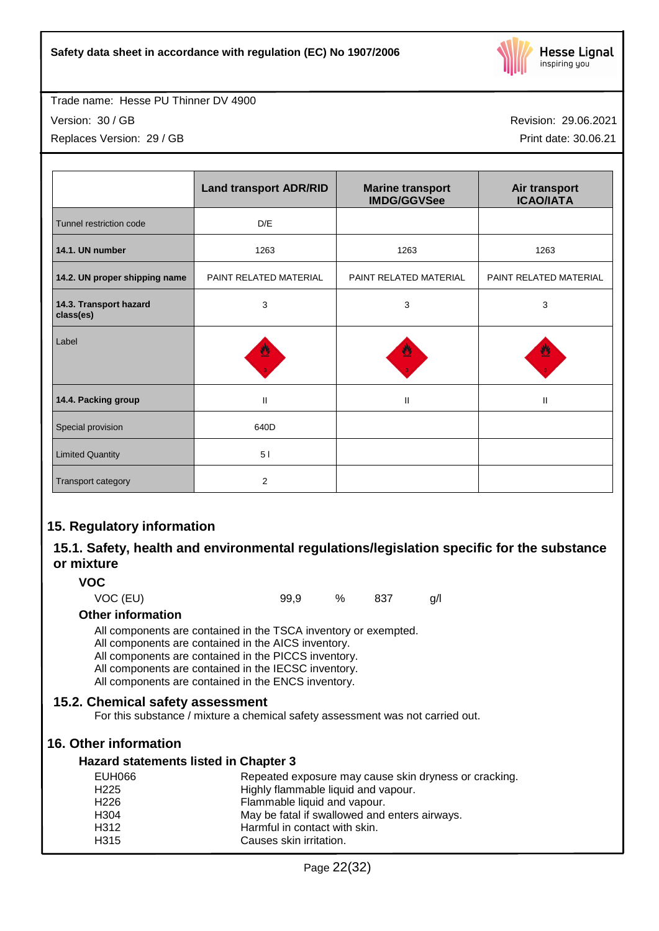

Version: 30 / GB

Replaces Version: 29 / GB

Revision: 29.06.2021

Print date: 30.06.21

|                                     | <b>Land transport ADR/RID</b> | <b>Marine transport</b><br><b>IMDG/GGVSee</b> | Air transport<br><b>ICAO/IATA</b> |
|-------------------------------------|-------------------------------|-----------------------------------------------|-----------------------------------|
| Tunnel restriction code             | D/E                           |                                               |                                   |
| 14.1. UN number                     | 1263                          | 1263                                          | 1263                              |
| 14.2. UN proper shipping name       | PAINT RELATED MATERIAL        | PAINT RELATED MATERIAL                        | PAINT RELATED MATERIAL            |
| 14.3. Transport hazard<br>class(es) | 3                             | 3                                             | 3                                 |
| Label                               |                               |                                               |                                   |
| 14.4. Packing group                 | $\mathbf{I}$                  | $\mathbf{II}$                                 | Ш                                 |
| Special provision                   | 640D                          |                                               |                                   |
| <b>Limited Quantity</b>             | 51                            |                                               |                                   |
| <b>Transport category</b>           | $\overline{2}$                |                                               |                                   |

## **15. Regulatory information**

## **15.1. Safety, health and environmental regulations/legislation specific for the substance or mixture**

## **VOC**

VOC (EU) 99,9 % 837 g/l

#### **Other information**

All components are contained in the TSCA inventory or exempted.

- All components are contained in the AICS inventory.
- All components are contained in the PICCS inventory.
- All components are contained in the IECSC inventory.

All components are contained in the ENCS inventory.

## **15.2. Chemical safety assessment**

For this substance / mixture a chemical safety assessment was not carried out.

## **16. Other information**

#### **Hazard statements listed in Chapter 3**

| EUH066            | Repeated exposure may cause skin dryness or cracking. |
|-------------------|-------------------------------------------------------|
| H <sub>225</sub>  | Highly flammable liquid and vapour.                   |
| H <sub>226</sub>  | Flammable liquid and vapour.                          |
| H <sub>304</sub>  | May be fatal if swallowed and enters airways.         |
| H <sub>3</sub> 12 | Harmful in contact with skin.                         |
| H <sub>315</sub>  | Causes skin irritation.                               |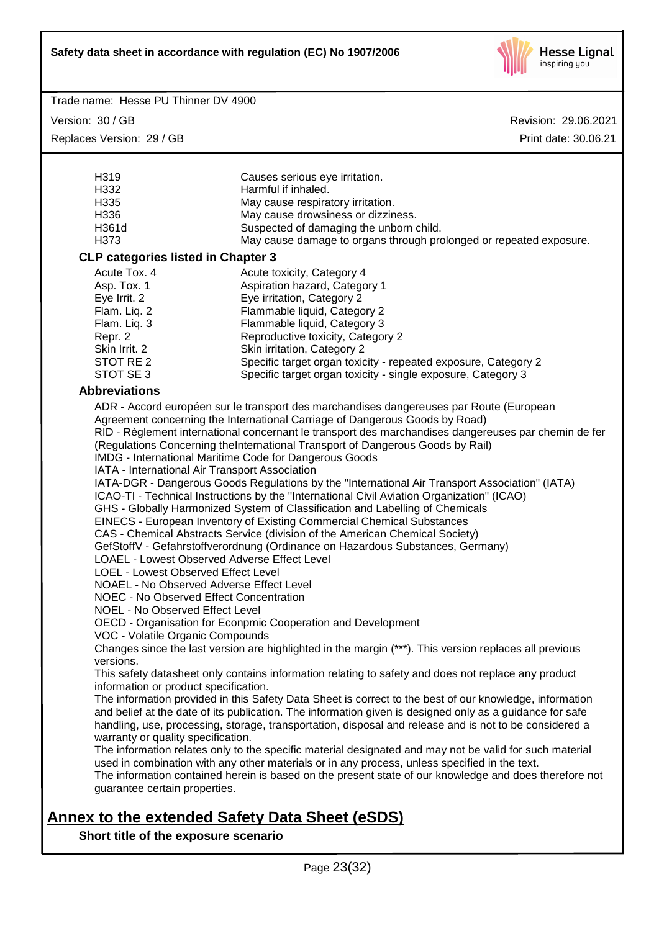

Version: 30 / GB Replaces Version: 29 / GB Revision: 29.06.2021 Print date: 30.06.21

| H <sub>3</sub> 19                         | Causes serious eye irritation.                                     |  |
|-------------------------------------------|--------------------------------------------------------------------|--|
| H332                                      | Harmful if inhaled.                                                |  |
| H335                                      | May cause respiratory irritation.                                  |  |
| H336                                      | May cause drowsiness or dizziness.                                 |  |
| H361d                                     | Suspected of damaging the unborn child.                            |  |
| H373                                      | May cause damage to organs through prolonged or repeated exposure. |  |
| <b>CLP categories listed in Chapter 3</b> |                                                                    |  |
| Acute Tox, 4                              | Acute toxicity, Category 4                                         |  |
| Asp. Tox. 1                               | Aspiration hazard, Category 1                                      |  |
| Eve Irrit, 2                              | Eve irritation, Category 2                                         |  |

| ASD. TUX. T   | ASPITATION NAZARU, GALEGOLY 1                                  |
|---------------|----------------------------------------------------------------|
| Eye Irrit. 2  | Eye irritation, Category 2                                     |
| Flam. Liq. 2  | Flammable liquid, Category 2                                   |
| Flam. Liq. 3  | Flammable liquid, Category 3                                   |
| Repr. 2       | Reproductive toxicity, Category 2                              |
| Skin Irrit, 2 | Skin irritation, Category 2                                    |
| STOT RE 2     | Specific target organ toxicity - repeated exposure, Category 2 |
| STOT SE 3     | Specific target organ toxicity - single exposure, Category 3   |
|               |                                                                |

#### **Abbreviations**

ADR - Accord européen sur le transport des marchandises dangereuses par Route (European Agreement concerning the International Carriage of Dangerous Goods by Road) RID - Règlement international concernant le transport des marchandises dangereuses par chemin de fer (Regulations Concerning theInternational Transport of Dangerous Goods by Rail) IMDG - International Maritime Code for Dangerous Goods IATA - International Air Transport Association IATA-DGR - Dangerous Goods Regulations by the "International Air Transport Association" (IATA) ICAO-TI - Technical Instructions by the "International Civil Aviation Organization" (ICAO) GHS - Globally Harmonized System of Classification and Labelling of Chemicals EINECS - European Inventory of Existing Commercial Chemical Substances CAS - Chemical Abstracts Service (division of the American Chemical Society) GefStoffV - Gefahrstoffverordnung (Ordinance on Hazardous Substances, Germany) LOAEL - Lowest Observed Adverse Effect Level LOEL - Lowest Observed Effect Level NOAEL - No Observed Adverse Effect Level NOEC - No Observed Effect Concentration NOEL - No Observed Effect Level OECD - Organisation for Econpmic Cooperation and Development VOC - Volatile Organic Compounds Changes since the last version are highlighted in the margin (\*\*\*). This version replaces all previous versions. This safety datasheet only contains information relating to safety and does not replace any product information or product specification. The information provided in this Safety Data Sheet is correct to the best of our knowledge, information and belief at the date of its publication. The information given is designed only as a guidance for safe handling, use, processing, storage, transportation, disposal and release and is not to be considered a warranty or quality specification. The information relates only to the specific material designated and may not be valid for such material used in combination with any other materials or in any process, unless specified in the text. The information contained herein is based on the present state of our knowledge and does therefore not guarantee certain properties.

# **Annex to the extended Safety Data Sheet (eSDS)**

**Short title of the exposure scenario**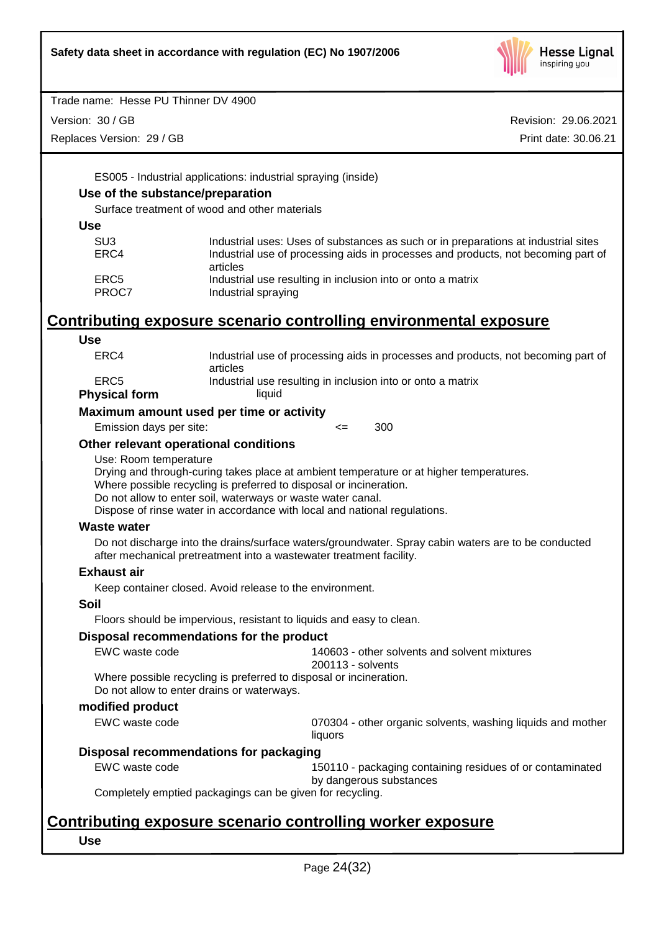

Version: 30 / GB

Replaces Version: 29 / GB

Revision: 29.06.2021 Print date: 30.06.21

ES005 - Industrial applications: industrial spraying (inside)

## **Use of the substance/preparation**

Surface treatment of wood and other materials

| SU3   | Industrial uses: Uses of substances as such or in preparations at industrial sites |
|-------|------------------------------------------------------------------------------------|
| ERC4  | Industrial use of processing aids in processes and products, not becoming part of  |
|       | articles                                                                           |
| ERC5  | Industrial use resulting in inclusion into or onto a matrix                        |
| PROC7 | Industrial spraying                                                                |

# **Contributing exposure scenario controlling environmental exposure**

| <b>Use</b>                                 |                                                                                                                                                                                                                                                                                                           |  |  |  |  |
|--------------------------------------------|-----------------------------------------------------------------------------------------------------------------------------------------------------------------------------------------------------------------------------------------------------------------------------------------------------------|--|--|--|--|
| ERC4                                       | Industrial use of processing aids in processes and products, not becoming part of<br>articles                                                                                                                                                                                                             |  |  |  |  |
| ERC <sub>5</sub>                           | Industrial use resulting in inclusion into or onto a matrix                                                                                                                                                                                                                                               |  |  |  |  |
| <b>Physical form</b>                       | liquid                                                                                                                                                                                                                                                                                                    |  |  |  |  |
|                                            | Maximum amount used per time or activity                                                                                                                                                                                                                                                                  |  |  |  |  |
| Emission days per site:                    | 300<br><=                                                                                                                                                                                                                                                                                                 |  |  |  |  |
| Other relevant operational conditions      |                                                                                                                                                                                                                                                                                                           |  |  |  |  |
| Use: Room temperature                      | Drying and through-curing takes place at ambient temperature or at higher temperatures.<br>Where possible recycling is preferred to disposal or incineration.<br>Do not allow to enter soil, waterways or waste water canal.<br>Dispose of rinse water in accordance with local and national regulations. |  |  |  |  |
| <b>Waste water</b>                         |                                                                                                                                                                                                                                                                                                           |  |  |  |  |
|                                            | Do not discharge into the drains/surface waters/groundwater. Spray cabin waters are to be conducted<br>after mechanical pretreatment into a wastewater treatment facility.                                                                                                                                |  |  |  |  |
| <b>Exhaust air</b>                         |                                                                                                                                                                                                                                                                                                           |  |  |  |  |
|                                            | Keep container closed. Avoid release to the environment.                                                                                                                                                                                                                                                  |  |  |  |  |
| <b>Soil</b>                                |                                                                                                                                                                                                                                                                                                           |  |  |  |  |
|                                            | Floors should be impervious, resistant to liquids and easy to clean.                                                                                                                                                                                                                                      |  |  |  |  |
|                                            | Disposal recommendations for the product                                                                                                                                                                                                                                                                  |  |  |  |  |
| EWC waste code                             | 140603 - other solvents and solvent mixtures<br>200113 - solvents                                                                                                                                                                                                                                         |  |  |  |  |
| Do not allow to enter drains or waterways. | Where possible recycling is preferred to disposal or incineration.                                                                                                                                                                                                                                        |  |  |  |  |
| modified product                           |                                                                                                                                                                                                                                                                                                           |  |  |  |  |
| EWC waste code                             | 070304 - other organic solvents, washing liquids and mother<br>liquors                                                                                                                                                                                                                                    |  |  |  |  |
| Disposal recommendations for packaging     |                                                                                                                                                                                                                                                                                                           |  |  |  |  |
| EWC waste code                             | 150110 - packaging containing residues of or contaminated<br>by dangerous substances                                                                                                                                                                                                                      |  |  |  |  |
|                                            | Completely emptied packagings can be given for recycling.                                                                                                                                                                                                                                                 |  |  |  |  |
|                                            |                                                                                                                                                                                                                                                                                                           |  |  |  |  |

# **Contributing exposure scenario controlling worker exposure**

## **Use**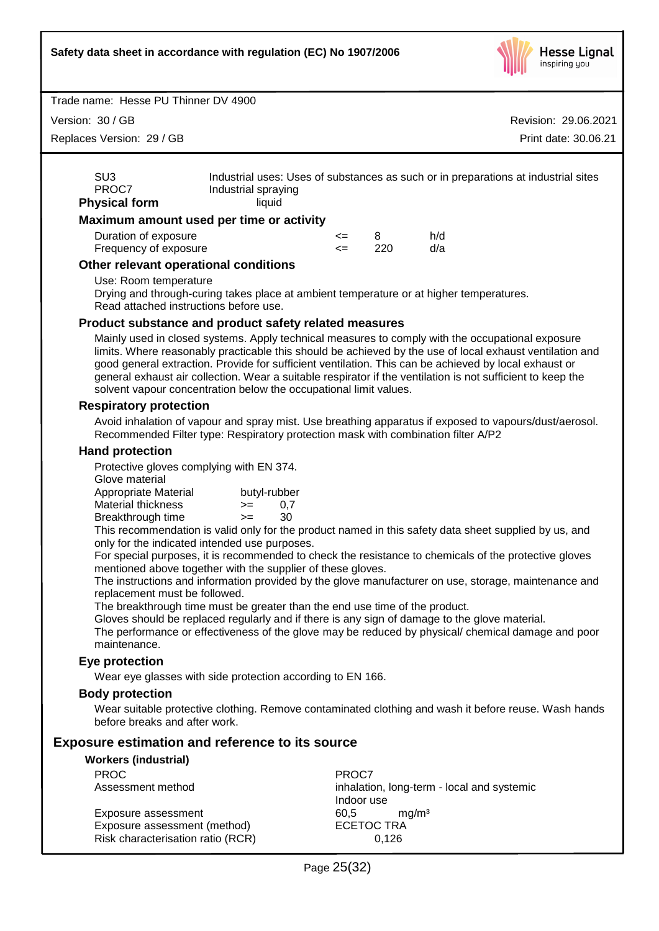

Version: 30 / GB

Replaces Version: 29 / GB

Revision: 29.06.2021 Print date: 30.06.21

| SU <sub>3</sub><br>PROC7<br><b>Physical form</b> | Industrial uses: Uses of substances as such or in preparations at industrial sites<br>Industrial spraying<br>liauid |        |     |     |  |
|--------------------------------------------------|---------------------------------------------------------------------------------------------------------------------|--------|-----|-----|--|
|                                                  | Maximum amount used per time or activity                                                                            |        |     |     |  |
| Duration of exposure                             |                                                                                                                     | $\leq$ | 8   | h/d |  |
| Frequency of exposure                            |                                                                                                                     | <=     | 220 | d/a |  |

#### **Other relevant operational conditions**

Use: Room temperature

Drying and through-curing takes place at ambient temperature or at higher temperatures. Read attached instructions before use.

#### **Product substance and product safety related measures**

Mainly used in closed systems. Apply technical measures to comply with the occupational exposure limits. Where reasonably practicable this should be achieved by the use of local exhaust ventilation and good general extraction. Provide for sufficient ventilation. This can be achieved by local exhaust or general exhaust air collection. Wear a suitable respirator if the ventilation is not sufficient to keep the solvent vapour concentration below the occupational limit values.

#### **Respiratory protection**

Avoid inhalation of vapour and spray mist. Use breathing apparatus if exposed to vapours/dust/aerosol. Recommended Filter type: Respiratory protection mask with combination filter A/P2

#### **Hand protection**

Protective gloves complying with EN 374.

Glove material

| Appropriate Material |  |      | butyl-rubber |
|----------------------|--|------|--------------|
| Material thickness   |  | $>=$ | 0.7          |
| Breakthrough time    |  | $>=$ | 30           |
| ---                  |  |      |              |

This recommendation is valid only for the product named in this safety data sheet supplied by us, and only for the indicated intended use purposes.

For special purposes, it is recommended to check the resistance to chemicals of the protective gloves mentioned above together with the supplier of these gloves.

The instructions and information provided by the glove manufacturer on use, storage, maintenance and replacement must be followed.

The breakthrough time must be greater than the end use time of the product.

Gloves should be replaced regularly and if there is any sign of damage to the glove material.

The performance or effectiveness of the glove may be reduced by physical/ chemical damage and poor maintenance.

#### **Eye protection**

Wear eye glasses with side protection according to EN 166.

#### **Body protection**

Wear suitable protective clothing. Remove contaminated clothing and wash it before reuse. Wash hands before breaks and after work.

#### **Exposure estimation and reference to its source**

#### **Workers (industrial)**

| <b>PROC</b>                       | PROC7                                      |
|-----------------------------------|--------------------------------------------|
| Assessment method                 | inhalation, long-term - local and systemic |
|                                   | Indoor use                                 |
| Exposure assessment               | ma/m <sup>3</sup><br>60.5                  |
| Exposure assessment (method)      | <b>ECETOC TRA</b>                          |
| Risk characterisation ratio (RCR) | 0.126                                      |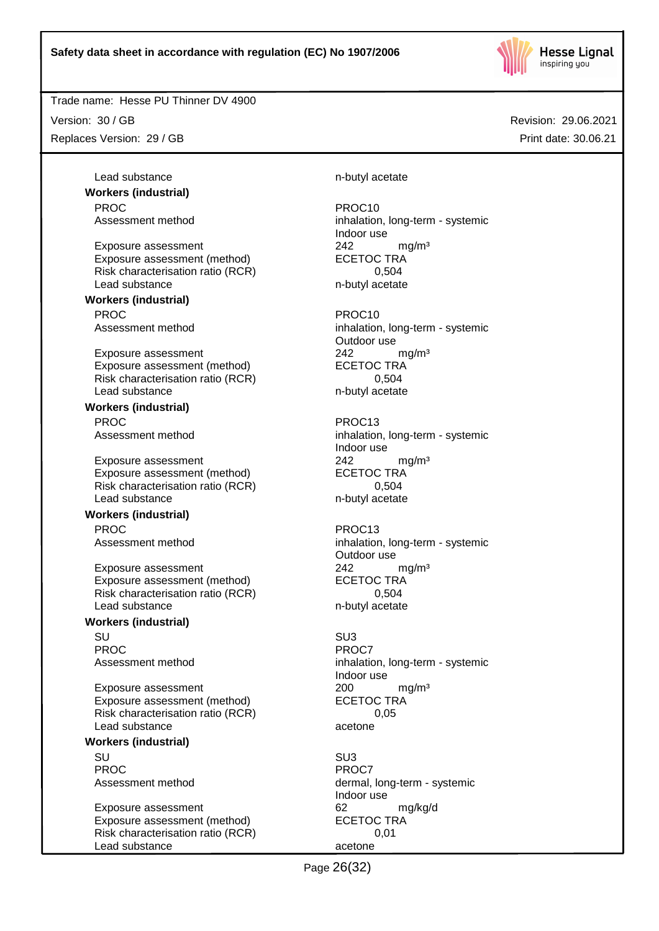

Version: 30 / GB

Replaces Version: 29 / GB

Lead substance n-butyl acetate **Workers (industrial)** PROC PROCTES PROCTES

Exposure assessment 242 mg/m<sup>3</sup> Exposure assessment (method) ECETOC TRA Risk characterisation ratio (RCR) 0,504<br>Lead substance by the photon network of the photon relationships the photon of the photon relationships the p<br>m-butyl acetate

**Workers (industrial)** PROC<br>Assessment method example and provide the process inhalation

Exposure assessment <br>
Exposure assessment (method) 
<br>
ECETOC TRA Exposure assessment (method) Risk characterisation ratio (RCR) 0,504 Lead substance n-butyl acetate

#### **Workers (industrial)**

PROC PROC13

Exposure assessment 242 mg/m<sup>3</sup> Exposure assessment (method) ECETOC TRA Risk characterisation ratio (RCR) 0,504 Lead substance n-butyl acetate

#### **Workers (industrial)**

PROC PROCTER PROCTS

Exposure assessment 242 mg/m<sup>3</sup> Exposure assessment (method) ECETOC TRA Risk characterisation ratio (RCR) 6,504 Lead substance n-butyl acetate

#### **Workers (industrial)**

SU SU3 PROC PROCT PROCT

Exposure assessment <br>
Exposure assessment (method) 
<br>
ECETOC TRA Exposure assessment (method) Risk characterisation ratio (RCR) 0,05 Lead substance acetone

#### **Workers (industrial)**

SU SU3 PROC<sup>PROC</sup> PROCT

Exposure assessment 62 mg/kg/d Exposure assessment (method) ECETOC TRA Risk characterisation ratio (RCR) 0,01 Lead substance acetone

Assessment method inhalation, long-term - systemic Indoor use n-butyl acetate

> inhalation, long-term - systemic Outdoor use

Assessment method inhalation, long-term - systemic Indoor use

Assessment method inhalation, long-term - systemic Outdoor use

Assessment method inhalation, long-term - systemic Indoor use

Assessment method dermal, long-term - systemic Indoor use

Page 26(32)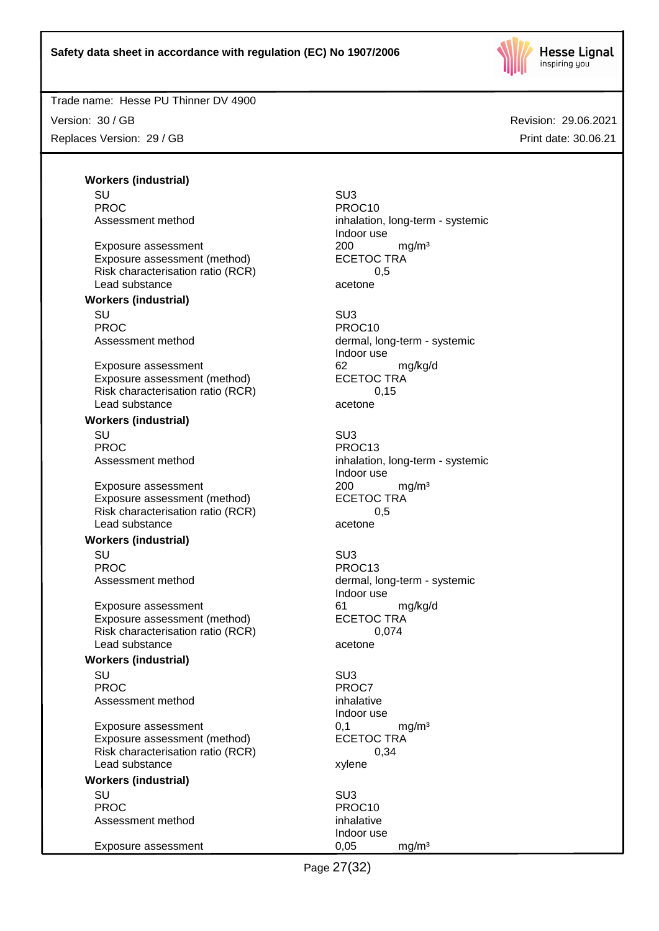

#### Trade name: Hesse PU Thinner DV 4900

Version: 30 / GB Replaces Version: 29 / GB

Revision: 29.06.2021 Print date: 30.06.21

**Workers (industrial)** SU SU3 PROC PROCTES PROCTES PROCTES

Exposure assessment <br>
Exposure assessment (method) 
<br>
ECETOC TRA Exposure assessment (method) Risk characterisation ratio (RCR) 0,5 Lead substance acetone

#### **Workers (industrial)**

SU SU3 PROC PROCTER PROCTER PROCTER PROCTER PROCTER PROCTER PROCTER PROCTER PROCTER PROCTER PROCTER PROCTER PROCTER PROCTER PROCTER PROCTER PROCTER PROCTER PROCTER PROCTER PROCTER PROCTER PROCTER PROCTER PROCTER PROCTER PROCTER P

Exposure assessment 62 mg/kg/d Exposure assessment (method) ECETOC TRA Risk characterisation ratio (RCR) 0,15 Lead substance acetone

#### **Workers (industrial)**

SU SU3 PROC PROC13

Exposure assessment 200 mg/m<sup>3</sup> Exposure assessment (method) ECETOC TRA Risk characterisation ratio (RCR) 0,5 Lead substance acetone

#### **Workers (industrial)**

SU SU3 PROC PROC13

Exposure assessment 61 mg/kg/d Exposure assessment (method) Risk characterisation ratio (RCR) 0,074 Lead substance acetone

#### **Workers (industrial)**

SU SU3 PROC<sup>PROC</sup> PROC7 Assessment method inhalative

Exposure assessment determines to the control of the mathematic method of the mathematic method of the mathematic method of the mathematic method of the mathematic method of the mathematic method of the mathematic method o Exposure assessment (method) Risk characterisation ratio (RCR) 0,34 Lead substance xylene

#### **Workers (industrial)**

SU SU3 PROC PROCTES PROCTES Assessment method inhalative

Exposure assessment and the control of the control of the control of the main system of the main system of the main system of the main system of the main system of the main system of the main system of the main system of t

Assessment method inhalation, long-term - systemic Indoor use

Assessment method dermal, long-term - systemic Indoor use

Assessment method inhalation, long-term - systemic Indoor use

Assessment method dermal, long-term - systemic Indoor use

Indoor use

Indoor use

Page 27(32)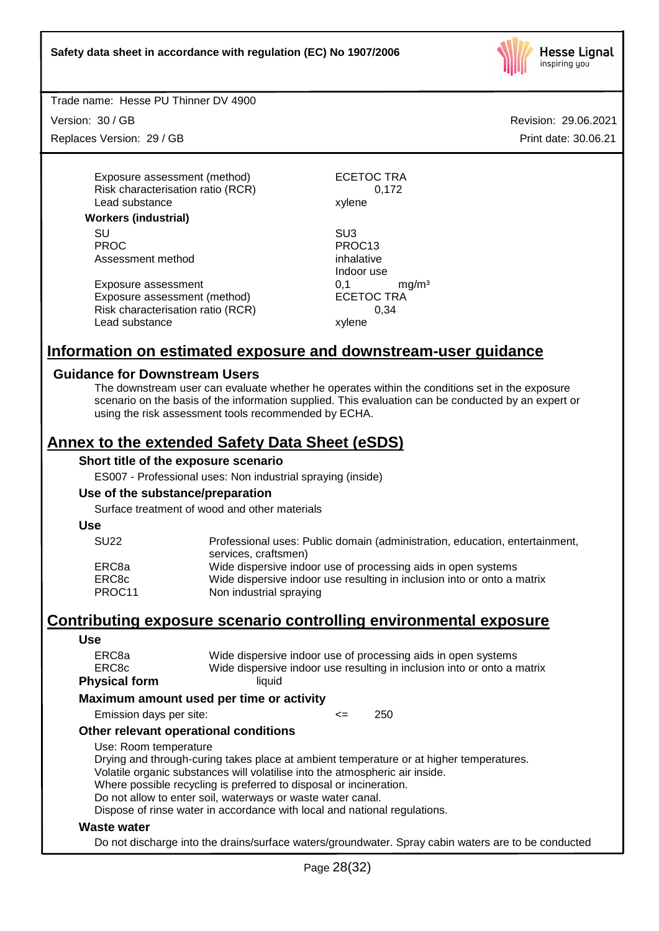

Trade name: Hesse PU Thinner DV 4900

Version: 30 / GB

Replaces Version: 29 / GB

Revision: 29.06.2021 Print date: 30.06.21

Exposure assessment (method) ECETOC TRA Risk characterisation ratio (RCR) 0,172 Lead substance xylene

#### **Workers (industrial)**

SU SU3 PROC PROC13 Assessment method inhalative

Exposure assessment determined by the mathematic system of the mathematic system of the mathematic system of the mathematic system of the mathematic system of the mathematic system of the mathematic system of the mathemati Exposure assessment (method) Risk characterisation ratio (RCR) 0,34 Lead substance xylene

Indoor use

## **Information on estimated exposure and downstream-user guidance**

#### **Guidance for Downstream Users**

The downstream user can evaluate whether he operates within the conditions set in the exposure scenario on the basis of the information supplied. This evaluation can be conducted by an expert or using the risk assessment tools recommended by ECHA.

# **Annex to the extended Safety Data Sheet (eSDS)**

#### **Short title of the exposure scenario**

ES007 - Professional uses: Non industrial spraying (inside)

#### **Use of the substance/preparation**

Surface treatment of wood and other materials

**Use**

| <b>SU22</b>     | Professional uses: Public domain (administration, education, entertainment,<br>services, craftsmen) |
|-----------------|-----------------------------------------------------------------------------------------------------|
| ERC8a           | Wide dispersive indoor use of processing aids in open systems                                       |
| ERC8c<br>PROC11 | Wide dispersive indoor use resulting in inclusion into or onto a matrix<br>Non industrial spraying  |

## **Contributing exposure scenario controlling environmental exposure**

#### **Use** ERC8a Wide dispersive indoor use of processing aids in open systems ERC8c Wide dispersive indoor use resulting in inclusion into or onto a matrix **Physical form** liquid **Maximum amount used per time or activity** Emission days per site:  $\leq$  250 **Other relevant operational conditions** Use: Room temperature Drying and through-curing takes place at ambient temperature or at higher temperatures. Volatile organic substances will volatilise into the atmospheric air inside. Where possible recycling is preferred to disposal or incineration. Do not allow to enter soil, waterways or waste water canal. Dispose of rinse water in accordance with local and national regulations. **Waste water**

Do not discharge into the drains/surface waters/groundwater. Spray cabin waters are to be conducted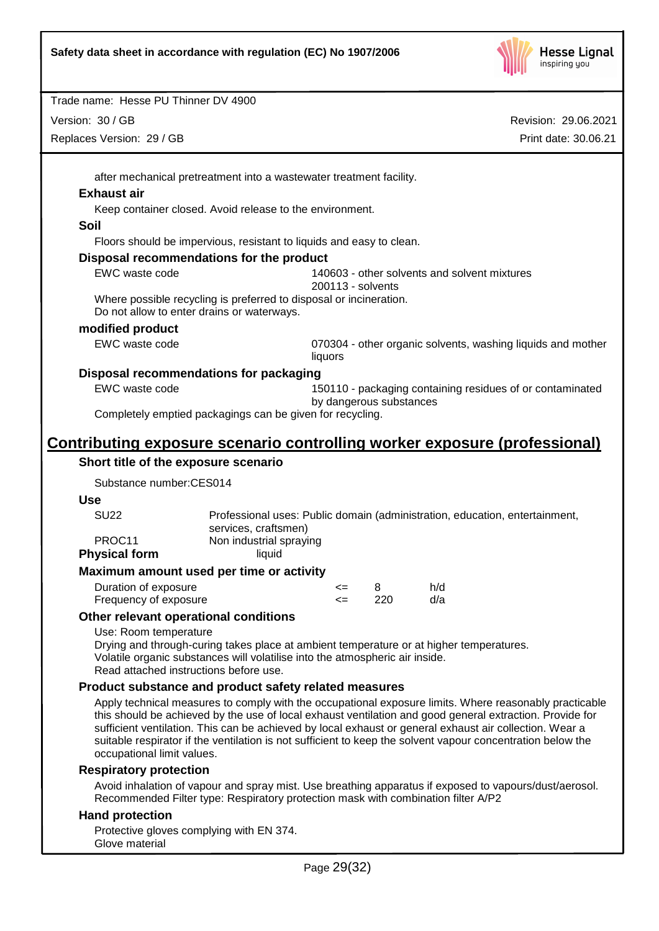

| Trade name: Hesse PU Thinner DV 4900                                                                                                                                                                                                                                                                                                                                                                                                                                       |                         |          |                                                                             |
|----------------------------------------------------------------------------------------------------------------------------------------------------------------------------------------------------------------------------------------------------------------------------------------------------------------------------------------------------------------------------------------------------------------------------------------------------------------------------|-------------------------|----------|-----------------------------------------------------------------------------|
| Version: 30 / GB                                                                                                                                                                                                                                                                                                                                                                                                                                                           |                         |          | Revision: 29.06.2021                                                        |
| Replaces Version: 29 / GB                                                                                                                                                                                                                                                                                                                                                                                                                                                  |                         |          | Print date: 30.06.21                                                        |
|                                                                                                                                                                                                                                                                                                                                                                                                                                                                            |                         |          |                                                                             |
| after mechanical pretreatment into a wastewater treatment facility.                                                                                                                                                                                                                                                                                                                                                                                                        |                         |          |                                                                             |
| <b>Exhaust air</b>                                                                                                                                                                                                                                                                                                                                                                                                                                                         |                         |          |                                                                             |
| Keep container closed. Avoid release to the environment.                                                                                                                                                                                                                                                                                                                                                                                                                   |                         |          |                                                                             |
| Soil                                                                                                                                                                                                                                                                                                                                                                                                                                                                       |                         |          |                                                                             |
| Floors should be impervious, resistant to liquids and easy to clean.                                                                                                                                                                                                                                                                                                                                                                                                       |                         |          |                                                                             |
| Disposal recommendations for the product                                                                                                                                                                                                                                                                                                                                                                                                                                   |                         |          |                                                                             |
| EWC waste code                                                                                                                                                                                                                                                                                                                                                                                                                                                             | 200113 - solvents       |          | 140603 - other solvents and solvent mixtures                                |
| Where possible recycling is preferred to disposal or incineration.<br>Do not allow to enter drains or waterways.                                                                                                                                                                                                                                                                                                                                                           |                         |          |                                                                             |
| modified product                                                                                                                                                                                                                                                                                                                                                                                                                                                           |                         |          |                                                                             |
| EWC waste code                                                                                                                                                                                                                                                                                                                                                                                                                                                             | liquors                 |          | 070304 - other organic solvents, washing liquids and mother                 |
| Disposal recommendations for packaging                                                                                                                                                                                                                                                                                                                                                                                                                                     |                         |          |                                                                             |
| EWC waste code                                                                                                                                                                                                                                                                                                                                                                                                                                                             |                         |          | 150110 - packaging containing residues of or contaminated                   |
| Completely emptied packagings can be given for recycling.                                                                                                                                                                                                                                                                                                                                                                                                                  | by dangerous substances |          |                                                                             |
|                                                                                                                                                                                                                                                                                                                                                                                                                                                                            |                         |          |                                                                             |
| <u>Contributing exposure scenario controlling worker exposure (professional)</u>                                                                                                                                                                                                                                                                                                                                                                                           |                         |          |                                                                             |
| Short title of the exposure scenario                                                                                                                                                                                                                                                                                                                                                                                                                                       |                         |          |                                                                             |
| Substance number:CES014                                                                                                                                                                                                                                                                                                                                                                                                                                                    |                         |          |                                                                             |
| <b>Use</b>                                                                                                                                                                                                                                                                                                                                                                                                                                                                 |                         |          |                                                                             |
| <b>SU22</b><br>services, craftsmen)                                                                                                                                                                                                                                                                                                                                                                                                                                        |                         |          | Professional uses: Public domain (administration, education, entertainment, |
| PROC11<br>Non industrial spraying                                                                                                                                                                                                                                                                                                                                                                                                                                          |                         |          |                                                                             |
| <b>Physical form</b><br>liquid                                                                                                                                                                                                                                                                                                                                                                                                                                             |                         |          |                                                                             |
| Maximum amount used per time or activity                                                                                                                                                                                                                                                                                                                                                                                                                                   |                         |          |                                                                             |
| Duration of exposure<br>Frequency of exposure                                                                                                                                                                                                                                                                                                                                                                                                                              | <=<br><=                | 8<br>220 | h/d<br>d/a                                                                  |
| Other relevant operational conditions                                                                                                                                                                                                                                                                                                                                                                                                                                      |                         |          |                                                                             |
| Use: Room temperature                                                                                                                                                                                                                                                                                                                                                                                                                                                      |                         |          |                                                                             |
| Drying and through-curing takes place at ambient temperature or at higher temperatures.<br>Volatile organic substances will volatilise into the atmospheric air inside.<br>Read attached instructions before use.                                                                                                                                                                                                                                                          |                         |          |                                                                             |
| Product substance and product safety related measures                                                                                                                                                                                                                                                                                                                                                                                                                      |                         |          |                                                                             |
| Apply technical measures to comply with the occupational exposure limits. Where reasonably practicable<br>this should be achieved by the use of local exhaust ventilation and good general extraction. Provide for<br>sufficient ventilation. This can be achieved by local exhaust or general exhaust air collection. Wear a<br>suitable respirator if the ventilation is not sufficient to keep the solvent vapour concentration below the<br>occupational limit values. |                         |          |                                                                             |
| <b>Respiratory protection</b>                                                                                                                                                                                                                                                                                                                                                                                                                                              |                         |          |                                                                             |
| Avoid inhalation of vapour and spray mist. Use breathing apparatus if exposed to vapours/dust/aerosol.<br>Recommended Filter type: Respiratory protection mask with combination filter A/P2                                                                                                                                                                                                                                                                                |                         |          |                                                                             |
| <b>Hand protection</b>                                                                                                                                                                                                                                                                                                                                                                                                                                                     |                         |          |                                                                             |
| Protective gloves complying with EN 374.<br>Glove material                                                                                                                                                                                                                                                                                                                                                                                                                 |                         |          |                                                                             |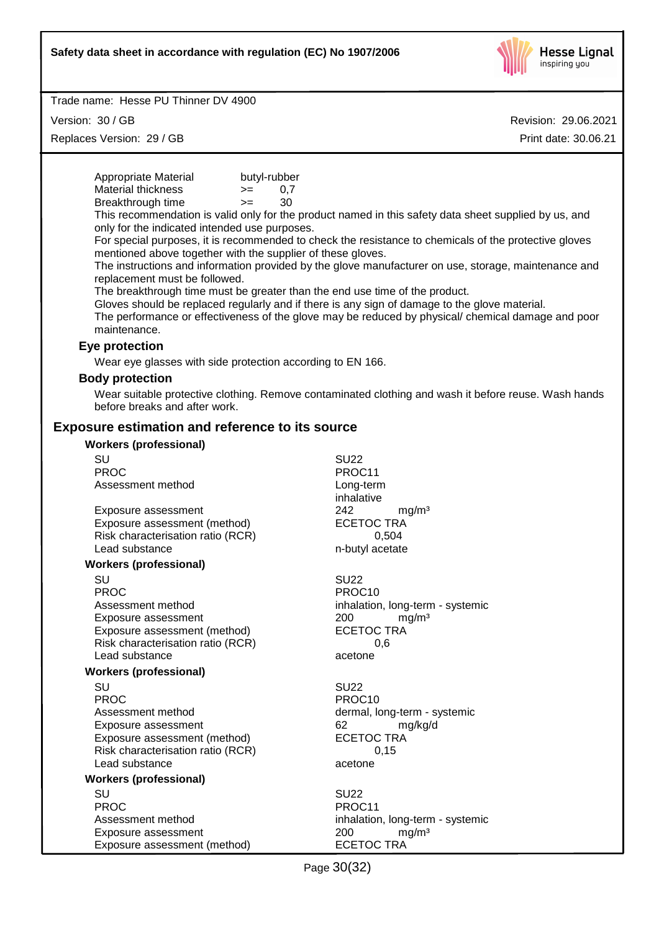

Version: 30 / GB

Replaces Version: 29 / GB

| Appropriate Material<br>butyl-rubber                                                          |                                                                                                       |
|-----------------------------------------------------------------------------------------------|-------------------------------------------------------------------------------------------------------|
| <b>Material thickness</b><br>0,7<br>$=$                                                       |                                                                                                       |
| Breakthrough time<br>30<br>$>=$                                                               |                                                                                                       |
|                                                                                               | This recommendation is valid only for the product named in this safety data sheet supplied by us, and |
| only for the indicated intended use purposes.                                                 |                                                                                                       |
|                                                                                               | For special purposes, it is recommended to check the resistance to chemicals of the protective gloves |
| mentioned above together with the supplier of these gloves.                                   |                                                                                                       |
|                                                                                               | The instructions and information provided by the glove manufacturer on use, storage, maintenance and  |
| replacement must be followed.                                                                 |                                                                                                       |
| The breakthrough time must be greater than the end use time of the product.                   |                                                                                                       |
| Gloves should be replaced regularly and if there is any sign of damage to the glove material. | The performance or effectiveness of the glove may be reduced by physical/ chemical damage and poor    |
| maintenance.                                                                                  |                                                                                                       |
|                                                                                               |                                                                                                       |
| Eye protection                                                                                |                                                                                                       |
| Wear eye glasses with side protection according to EN 166.                                    |                                                                                                       |
| <b>Body protection</b>                                                                        |                                                                                                       |
|                                                                                               | Wear suitable protective clothing. Remove contaminated clothing and wash it before reuse. Wash hands  |
| before breaks and after work.                                                                 |                                                                                                       |
| <b>Exposure estimation and reference to its source</b>                                        |                                                                                                       |
|                                                                                               |                                                                                                       |
| <b>Workers (professional)</b>                                                                 |                                                                                                       |
| SU                                                                                            | <b>SU22</b>                                                                                           |
| <b>PROC</b>                                                                                   | PROC11                                                                                                |
| Assessment method                                                                             | Long-term                                                                                             |
|                                                                                               | inhalative                                                                                            |
| Exposure assessment                                                                           | 242<br>mg/m <sup>3</sup>                                                                              |
| Exposure assessment (method)                                                                  | <b>ECETOC TRA</b>                                                                                     |
| Risk characterisation ratio (RCR)<br>Lead substance                                           | 0,504<br>n-butyl acetate                                                                              |
|                                                                                               |                                                                                                       |
| <b>Workers (professional)</b>                                                                 |                                                                                                       |
| SU                                                                                            | <b>SU22</b>                                                                                           |
| <b>PROC</b>                                                                                   | PROC10                                                                                                |
| Assessment method                                                                             | inhalation, long-term - systemic                                                                      |
| Exposure assessment                                                                           | 200<br>mg/m <sup>3</sup>                                                                              |
| Exposure assessment (method)                                                                  | <b>ECETOC TRA</b>                                                                                     |
| Risk characterisation ratio (RCR)<br>Lead substance                                           | 0,6<br>acetone                                                                                        |
|                                                                                               |                                                                                                       |
| <b>Workers (professional)</b>                                                                 |                                                                                                       |
| SU                                                                                            | <b>SU22</b>                                                                                           |
| <b>PROC</b>                                                                                   | PROC10                                                                                                |
| Assessment method                                                                             | dermal, long-term - systemic                                                                          |
| Exposure assessment                                                                           | 62<br>mg/kg/d                                                                                         |
| Exposure assessment (method)<br>Risk characterisation ratio (RCR)                             | <b>ECETOC TRA</b>                                                                                     |
| Lead substance                                                                                | 0,15<br>acetone                                                                                       |
|                                                                                               |                                                                                                       |
| <b>Workers (professional)</b>                                                                 |                                                                                                       |
| SU<br><b>PROC</b>                                                                             | <b>SU22</b><br>PROC11                                                                                 |
| Assessment method                                                                             | inhalation, long-term - systemic                                                                      |
| Exposure assessment                                                                           | 200<br>mg/m <sup>3</sup>                                                                              |
| Exposure assessment (method)                                                                  | <b>ECETOC TRA</b>                                                                                     |
|                                                                                               |                                                                                                       |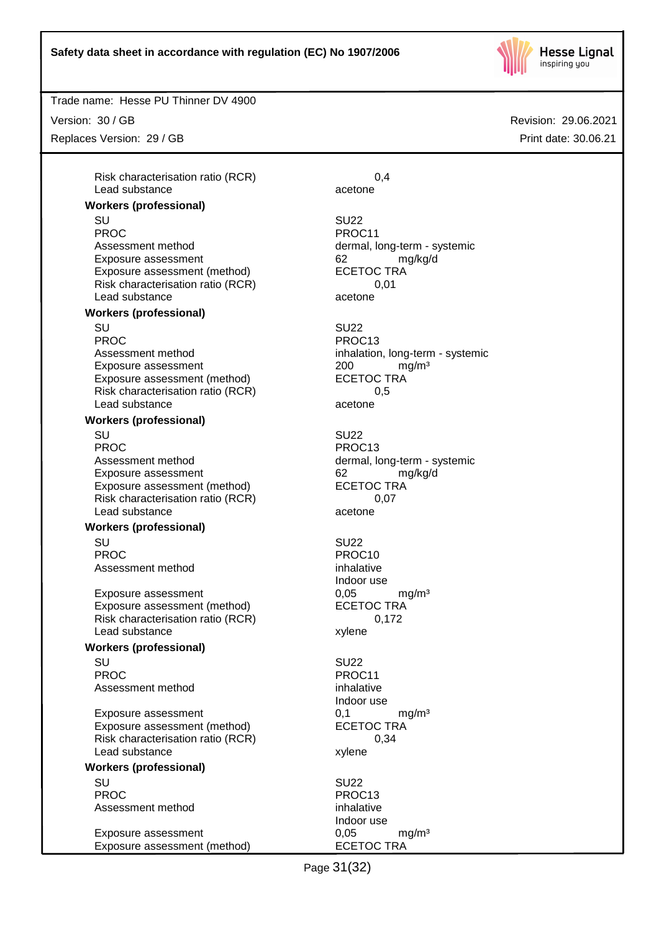

Trade name: Hesse PU Thinner DV 4900

Version: 30 / GB

Replaces Version: 29 / GB

Risk characterisation ratio (RCR) 0,4 Lead substance acetone

#### **Workers (professional)**

SU SU22 PROC PROCTER PROCTER PROCTER PROCTER PROCTER PROCTER PROCTER PROCTER PROCTER PROCTER PROCTER PROCTER PROCTER PROCTER PROCTER PROCTER PROCTER PROCTER PROCTER PROCTER PROCTER PROCTER PROCTER PROCTER PROCTER PROCTER PROCTER P Assessment method dermal, long-term - systemic Exposure assessment and the control of the control of the control of the control of the control of the control o<br>
ECETOC TRA CONTEXA Exposure assessment (method) Risk characterisation ratio (RCR) 0,01 Lead substance acetone

#### **Workers (professional)**

SU SU22 PROC PROC13 Assessment method inhalation, long-term - systemic Exposure assessment <br>
Exposure assessment (method) 
<br>
ECETOC TRA Exposure assessment (method) Risk characterisation ratio (RCR) 0,5 Lead substance acetone

#### **Workers (professional)**

SU SU22 PROC PROC13 Assessment method dermal, long-term - systemic Exposure assessment determines and the series of the system of the system of the system of the system of the s<br>
ECETOC TRA Exposure assessment (method) Risk characterisation ratio (RCR) 0,07 Lead substance acetone

#### **Workers (professional)**

SU SU22 PROC PROCTES PROCTES Assessment method inhalative

Exposure assessment  $0,05$  mg/m<sup>3</sup><br>Exposure assessment (method) ECETOC TRA Exposure assessment (method) Risk characterisation ratio (RCR) 0,172 Lead substance xylene

## **Workers (professional)**

SU SU22 PROC PROCTES PROCTES Assessment method inhalative

Exposure assessment 6.1 mg/m<sup>3</sup> Exposure assessment (method) ECETOC TRA Risk characterisation ratio (RCR) 0,34 Lead substance xylene

# **Workers (professional)**

SU SU22 PROC PROC13 Assessment method inhalative

Exposure assessment determined by the control of the control of the control of the control of the control of the control of the control of the control of the control of the control of the control of the control of the cont Exposure assessment (method)

Indoor use

Indoor use

Indoor use

Page 31(32)